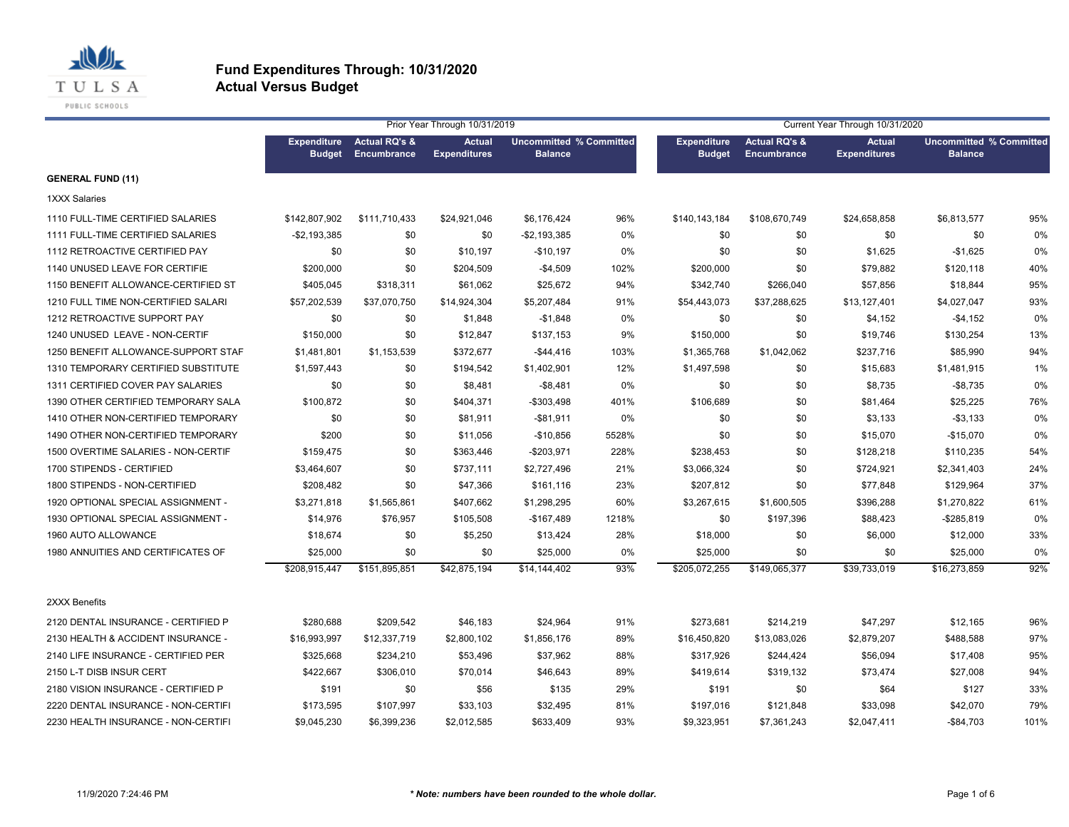

|                                     |                                     |                                         | Prior Year Through 10/31/2019        |                                                  |       | Current Year Through 10/31/2020     |                                                |                                      |                                                  |      |  |
|-------------------------------------|-------------------------------------|-----------------------------------------|--------------------------------------|--------------------------------------------------|-------|-------------------------------------|------------------------------------------------|--------------------------------------|--------------------------------------------------|------|--|
|                                     | <b>Expenditure</b><br><b>Budget</b> | <b>Actual RQ's &amp;</b><br>Encumbrance | <b>Actual</b><br><b>Expenditures</b> | <b>Uncommitted % Committed</b><br><b>Balance</b> |       | <b>Expenditure</b><br><b>Budget</b> | <b>Actual RQ's &amp;</b><br><b>Encumbrance</b> | <b>Actual</b><br><b>Expenditures</b> | <b>Uncommitted % Committed</b><br><b>Balance</b> |      |  |
| <b>GENERAL FUND (11)</b>            |                                     |                                         |                                      |                                                  |       |                                     |                                                |                                      |                                                  |      |  |
| <b>1XXX Salaries</b>                |                                     |                                         |                                      |                                                  |       |                                     |                                                |                                      |                                                  |      |  |
| 1110 FULL-TIME CERTIFIED SALARIES   | \$142,807,902                       | \$111,710,433                           | \$24,921,046                         | \$6,176,424                                      | 96%   | \$140,143,184                       | \$108,670,749                                  | \$24,658,858                         | \$6,813,577                                      | 95%  |  |
| 1111 FULL-TIME CERTIFIED SALARIES   | $-$2,193,385$                       | \$0                                     | \$0                                  | $-$2,193,385$                                    | 0%    | \$0                                 | \$0                                            | \$0                                  | \$0                                              | 0%   |  |
| 1112 RETROACTIVE CERTIFIED PAY      | \$0                                 | \$0                                     | \$10,197                             | $-$10,197$                                       | 0%    | \$0                                 | \$0                                            | \$1,625                              | $-$1,625$                                        | 0%   |  |
| 1140 UNUSED LEAVE FOR CERTIFIE      | \$200,000                           | \$0                                     | \$204,509                            | $-$4,509$                                        | 102%  | \$200,000                           | \$0                                            | \$79,882                             | \$120,118                                        | 40%  |  |
| 1150 BENEFIT ALLOWANCE-CERTIFIED ST | \$405,045                           | \$318,311                               | \$61,062                             | \$25,672                                         | 94%   | \$342,740                           | \$266,040                                      | \$57,856                             | \$18,844                                         | 95%  |  |
| 1210 FULL TIME NON-CERTIFIED SALARI | \$57,202,539                        | \$37,070,750                            | \$14,924,304                         | \$5,207,484                                      | 91%   | \$54,443,073                        | \$37,288,625                                   | \$13,127,401                         | \$4,027,047                                      | 93%  |  |
| 1212 RETROACTIVE SUPPORT PAY        | \$0                                 | \$0                                     | \$1,848                              | $-$1,848$                                        | 0%    | \$0                                 | \$0                                            | \$4,152                              | $-$4,152$                                        | 0%   |  |
| 1240 UNUSED LEAVE - NON-CERTIF      | \$150,000                           | \$0                                     | \$12,847                             | \$137,153                                        | 9%    | \$150,000                           | \$0                                            | \$19,746                             | \$130,254                                        | 13%  |  |
| 1250 BENEFIT ALLOWANCE-SUPPORT STAF | \$1,481,801                         | \$1,153,539                             | \$372,677                            | -\$44,416                                        | 103%  | \$1,365,768                         | \$1,042,062                                    | \$237,716                            | \$85,990                                         | 94%  |  |
| 1310 TEMPORARY CERTIFIED SUBSTITUTE | \$1,597,443                         | \$0                                     | \$194,542                            | \$1,402,901                                      | 12%   | \$1,497,598                         | \$0                                            | \$15,683                             | \$1,481,915                                      | 1%   |  |
| 1311 CERTIFIED COVER PAY SALARIES   | \$0                                 | \$0                                     | \$8,481                              | $-$ \$8,481                                      | 0%    | \$0                                 | \$0                                            | \$8,735                              | $-$ \$8,735                                      | 0%   |  |
| 1390 OTHER CERTIFIED TEMPORARY SALA | \$100,872                           | \$0                                     | \$404,371                            | $-$303,498$                                      | 401%  | \$106,689                           | \$0                                            | \$81,464                             | \$25,225                                         | 76%  |  |
| 1410 OTHER NON-CERTIFIED TEMPORARY  | \$0                                 | \$0                                     | \$81,911                             | $-$ \$81,911                                     | 0%    | \$0                                 | \$0                                            | \$3,133                              | $- $3,133$                                       | 0%   |  |
| 1490 OTHER NON-CERTIFIED TEMPORARY  | \$200                               | \$0                                     | \$11,056                             | $-$10,856$                                       | 5528% | \$0                                 | \$0                                            | \$15,070                             | $-$15,070$                                       | 0%   |  |
| 1500 OVERTIME SALARIES - NON-CERTIF | \$159,475                           | \$0                                     | \$363,446                            | $-$203,971$                                      | 228%  | \$238,453                           | \$0                                            | \$128,218                            | \$110,235                                        | 54%  |  |
| 1700 STIPENDS - CERTIFIED           | \$3,464,607                         | \$0                                     | \$737,111                            | \$2,727,496                                      | 21%   | \$3,066,324                         | \$0                                            | \$724,921                            | \$2,341,403                                      | 24%  |  |
| 1800 STIPENDS - NON-CERTIFIED       | \$208,482                           | \$0                                     | \$47,366                             | \$161,116                                        | 23%   | \$207,812                           | \$0                                            | \$77,848                             | \$129,964                                        | 37%  |  |
| 1920 OPTIONAL SPECIAL ASSIGNMENT -  | \$3,271,818                         | \$1,565,861                             | \$407,662                            | \$1,298,295                                      | 60%   | \$3,267,615                         | \$1,600,505                                    | \$396,288                            | \$1,270,822                                      | 61%  |  |
| 1930 OPTIONAL SPECIAL ASSIGNMENT -  | \$14,976                            | \$76,957                                | \$105,508                            | $-$167,489$                                      | 1218% | \$0                                 | \$197,396                                      | \$88,423                             | -\$285,819                                       | 0%   |  |
| 1960 AUTO ALLOWANCE                 | \$18,674                            | \$0                                     | \$5,250                              | \$13,424                                         | 28%   | \$18,000                            | \$0                                            | \$6,000                              | \$12,000                                         | 33%  |  |
| 1980 ANNUITIES AND CERTIFICATES OF  | \$25,000                            | \$0                                     | \$0                                  | \$25,000                                         | 0%    | \$25,000                            | \$0                                            | \$0                                  | \$25,000                                         | 0%   |  |
|                                     | \$208,915,447                       | \$151,895,851                           | \$42,875,194                         | \$14,144,402                                     | 93%   | \$205,072,255                       | \$149,065,377                                  | \$39,733,019                         | \$16,273,859                                     | 92%  |  |
| 2XXX Benefits                       |                                     |                                         |                                      |                                                  |       |                                     |                                                |                                      |                                                  |      |  |
| 2120 DENTAL INSURANCE - CERTIFIED P | \$280,688                           | \$209,542                               | \$46,183                             | \$24,964                                         | 91%   | \$273,681                           | \$214,219                                      | \$47,297                             | \$12,165                                         | 96%  |  |
| 2130 HEALTH & ACCIDENT INSURANCE -  | \$16,993,997                        | \$12,337,719                            | \$2,800,102                          | \$1,856,176                                      | 89%   | \$16,450,820                        | \$13,083,026                                   | \$2,879,207                          | \$488,588                                        | 97%  |  |
| 2140 LIFE INSURANCE - CERTIFIED PER | \$325,668                           | \$234,210                               | \$53,496                             | \$37,962                                         | 88%   | \$317,926                           | \$244,424                                      | \$56,094                             | \$17,408                                         | 95%  |  |
| 2150 L-T DISB INSUR CERT            | \$422,667                           | \$306,010                               | \$70,014                             | \$46,643                                         | 89%   | \$419,614                           | \$319,132                                      | \$73,474                             | \$27,008                                         | 94%  |  |
| 2180 VISION INSURANCE - CERTIFIED P | \$191                               | \$0                                     | \$56                                 | \$135                                            | 29%   | \$191                               | \$0                                            | \$64                                 | \$127                                            | 33%  |  |
| 2220 DENTAL INSURANCE - NON-CERTIFI | \$173,595                           | \$107,997                               | \$33,103                             | \$32,495                                         | 81%   | \$197,016                           | \$121,848                                      | \$33,098                             | \$42,070                                         | 79%  |  |
| 2230 HEALTH INSURANCE - NON-CERTIFI | \$9,045,230                         | \$6.399.236                             | \$2,012,585                          | \$633.409                                        | 93%   | \$9,323,951                         | \$7,361,243                                    | \$2,047,411                          | $-$84,703$                                       | 101% |  |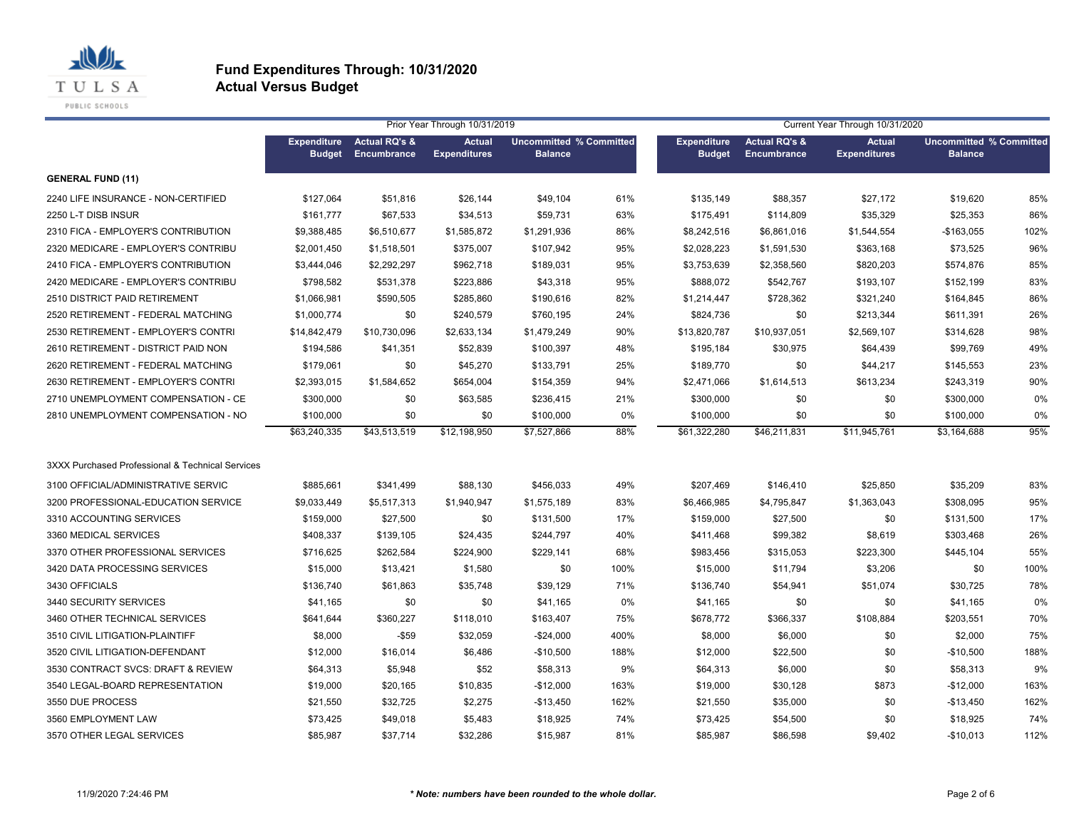

|                                                  |                                     |                                         | Prior Year Through 10/31/2019        |                                                  |      | Current Year Through 10/31/2020     |                                         |                                      |                                                  |      |
|--------------------------------------------------|-------------------------------------|-----------------------------------------|--------------------------------------|--------------------------------------------------|------|-------------------------------------|-----------------------------------------|--------------------------------------|--------------------------------------------------|------|
|                                                  | <b>Expenditure</b><br><b>Budget</b> | <b>Actual RQ's &amp;</b><br>Encumbrance | <b>Actual</b><br><b>Expenditures</b> | <b>Uncommitted % Committed</b><br><b>Balance</b> |      | <b>Expenditure</b><br><b>Budget</b> | <b>Actual RQ's &amp;</b><br>Encumbrance | <b>Actual</b><br><b>Expenditures</b> | <b>Uncommitted % Committed</b><br><b>Balance</b> |      |
| <b>GENERAL FUND (11)</b>                         |                                     |                                         |                                      |                                                  |      |                                     |                                         |                                      |                                                  |      |
| 2240 LIFE INSURANCE - NON-CERTIFIED              | \$127,064                           | \$51,816                                | \$26,144                             | \$49,104                                         | 61%  | \$135,149                           | \$88,357                                | \$27,172                             | \$19,620                                         | 85%  |
| 2250 L-T DISB INSUR                              | \$161,777                           | \$67,533                                | \$34,513                             | \$59,731                                         | 63%  | \$175,491                           | \$114,809                               | \$35,329                             | \$25,353                                         | 86%  |
| 2310 FICA - EMPLOYER'S CONTRIBUTION              | \$9,388,485                         | \$6,510,677                             | \$1,585,872                          | \$1,291,936                                      | 86%  | \$8,242,516                         | \$6,861,016                             | \$1,544,554                          | $-$163,055$                                      | 102% |
| 2320 MEDICARE - EMPLOYER'S CONTRIBU              | \$2,001,450                         | \$1,518,501                             | \$375,007                            | \$107,942                                        | 95%  | \$2,028,223                         | \$1,591,530                             | \$363,168                            | \$73,525                                         | 96%  |
| 2410 FICA - EMPLOYER'S CONTRIBUTION              | \$3,444,046                         | \$2,292,297                             | \$962,718                            | \$189,031                                        | 95%  | \$3,753,639                         | \$2,358,560                             | \$820,203                            | \$574,876                                        | 85%  |
| 2420 MEDICARE - EMPLOYER'S CONTRIBU              | \$798,582                           | \$531,378                               | \$223,886                            | \$43,318                                         | 95%  | \$888,072                           | \$542,767                               | \$193,107                            | \$152,199                                        | 83%  |
| 2510 DISTRICT PAID RETIREMENT                    | \$1,066,981                         | \$590,505                               | \$285,860                            | \$190,616                                        | 82%  | \$1,214,447                         | \$728,362                               | \$321,240                            | \$164,845                                        | 86%  |
| 2520 RETIREMENT - FEDERAL MATCHING               | \$1,000,774                         | \$0                                     | \$240,579                            | \$760,195                                        | 24%  | \$824,736                           | \$0                                     | \$213,344                            | \$611,391                                        | 26%  |
| 2530 RETIREMENT - EMPLOYER'S CONTRI              | \$14,842,479                        | \$10,730,096                            | \$2,633,134                          | \$1,479,249                                      | 90%  | \$13,820,787                        | \$10,937,051                            | \$2,569,107                          | \$314,628                                        | 98%  |
| 2610 RETIREMENT - DISTRICT PAID NON              | \$194,586                           | \$41,351                                | \$52,839                             | \$100,397                                        | 48%  | \$195,184                           | \$30,975                                | \$64,439                             | \$99,769                                         | 49%  |
| 2620 RETIREMENT - FEDERAL MATCHING               | \$179,061                           | \$0                                     | \$45,270                             | \$133,791                                        | 25%  | \$189,770                           | \$0                                     | \$44,217                             | \$145,553                                        | 23%  |
| 2630 RETIREMENT - EMPLOYER'S CONTRI              | \$2,393,015                         | \$1,584,652                             | \$654,004                            | \$154,359                                        | 94%  | \$2,471,066                         | \$1,614,513                             | \$613,234                            | \$243,319                                        | 90%  |
| 2710 UNEMPLOYMENT COMPENSATION - CE              | \$300,000                           | \$0                                     | \$63,585                             | \$236,415                                        | 21%  | \$300,000                           | \$0                                     | \$0                                  | \$300,000                                        | 0%   |
| 2810 UNEMPLOYMENT COMPENSATION - NO              | \$100,000                           | \$0                                     | \$0                                  | \$100,000                                        | 0%   | \$100,000                           | \$0                                     | \$0                                  | \$100,000                                        | 0%   |
|                                                  | \$63,240,335                        | \$43,513,519                            | \$12,198,950                         | \$7,527,866                                      | 88%  | \$61,322,280                        | \$46,211,831                            | \$11,945,761                         | \$3,164,688                                      | 95%  |
| 3XXX Purchased Professional & Technical Services |                                     |                                         |                                      |                                                  |      |                                     |                                         |                                      |                                                  |      |
| 3100 OFFICIAL/ADMINISTRATIVE SERVIC              | \$885,661                           | \$341,499                               | \$88,130                             | \$456,033                                        | 49%  | \$207,469                           | \$146,410                               | \$25,850                             | \$35,209                                         | 83%  |
| 3200 PROFESSIONAL-EDUCATION SERVICE              | \$9,033,449                         | \$5,517,313                             | \$1,940,947                          | \$1,575,189                                      | 83%  | \$6,466,985                         | \$4,795,847                             | \$1,363,043                          | \$308,095                                        | 95%  |
| 3310 ACCOUNTING SERVICES                         | \$159,000                           | \$27,500                                | \$0                                  | \$131,500                                        | 17%  | \$159,000                           | \$27,500                                | \$0                                  | \$131,500                                        | 17%  |
| 3360 MEDICAL SERVICES                            | \$408,337                           | \$139,105                               | \$24,435                             | \$244,797                                        | 40%  | \$411,468                           | \$99,382                                | \$8,619                              | \$303,468                                        | 26%  |
| 3370 OTHER PROFESSIONAL SERVICES                 | \$716,625                           | \$262,584                               | \$224,900                            | \$229,141                                        | 68%  | \$983,456                           | \$315,053                               | \$223,300                            | \$445,104                                        | 55%  |
| 3420 DATA PROCESSING SERVICES                    | \$15,000                            | \$13,421                                | \$1,580                              | \$0                                              | 100% | \$15,000                            | \$11,794                                | \$3,206                              | \$0                                              | 100% |
| 3430 OFFICIALS                                   | \$136,740                           | \$61,863                                | \$35,748                             | \$39,129                                         | 71%  | \$136,740                           | \$54,941                                | \$51,074                             | \$30,725                                         | 78%  |
| 3440 SECURITY SERVICES                           | \$41,165                            | \$0                                     | \$0                                  | \$41,165                                         | 0%   | \$41,165                            | \$0                                     | \$0                                  | \$41,165                                         | 0%   |
| 3460 OTHER TECHNICAL SERVICES                    | \$641,644                           | \$360,227                               | \$118,010                            | \$163,407                                        | 75%  | \$678,772                           | \$366,337                               | \$108,884                            | \$203,551                                        | 70%  |
| 3510 CIVIL LITIGATION-PLAINTIFF                  | \$8,000                             | $-$ \$59                                | \$32,059                             | $-$24,000$                                       | 400% | \$8,000                             | \$6,000                                 | \$0                                  | \$2,000                                          | 75%  |
| 3520 CIVIL LITIGATION-DEFENDANT                  | \$12,000                            | \$16,014                                | \$6,486                              | $-$10,500$                                       | 188% | \$12,000                            | \$22,500                                | \$0                                  | $-$10,500$                                       | 188% |
| 3530 CONTRACT SVCS: DRAFT & REVIEW               | \$64,313                            | \$5,948                                 | \$52                                 | \$58,313                                         | 9%   | \$64,313                            | \$6,000                                 | \$0                                  | \$58,313                                         | 9%   |
| 3540 LEGAL-BOARD REPRESENTATION                  | \$19,000                            | \$20,165                                | \$10,835                             | $-$12,000$                                       | 163% | \$19,000                            | \$30,128                                | \$873                                | $-$12,000$                                       | 163% |
| 3550 DUE PROCESS                                 | \$21,550                            | \$32,725                                | \$2,275                              | $-$13,450$                                       | 162% | \$21,550                            | \$35,000                                | \$0                                  | $-$13,450$                                       | 162% |
| 3560 EMPLOYMENT LAW                              | \$73,425                            | \$49,018                                | \$5,483                              | \$18,925                                         | 74%  | \$73,425                            | \$54,500                                | \$0                                  | \$18,925                                         | 74%  |
| 3570 OTHER LEGAL SERVICES                        | \$85,987                            | \$37,714                                | \$32,286                             | \$15,987                                         | 81%  | \$85,987                            | \$86,598                                | \$9,402                              | $-$10,013$                                       | 112% |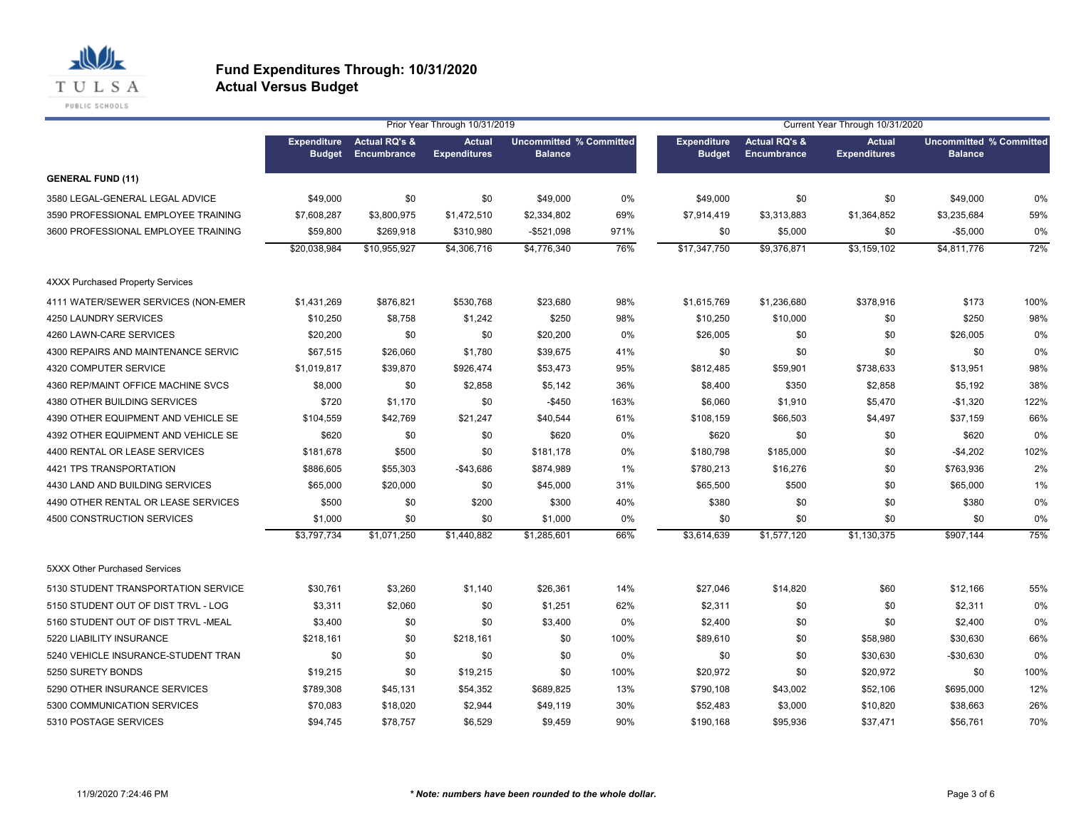

|                                         |                                     |                                                | Prior Year Through 10/31/2019        |                                                  |      | Current Year Through 10/31/2020     |                                         |                                      |                                                  |      |
|-----------------------------------------|-------------------------------------|------------------------------------------------|--------------------------------------|--------------------------------------------------|------|-------------------------------------|-----------------------------------------|--------------------------------------|--------------------------------------------------|------|
|                                         | <b>Expenditure</b><br><b>Budget</b> | <b>Actual RQ's &amp;</b><br><b>Encumbrance</b> | <b>Actual</b><br><b>Expenditures</b> | <b>Uncommitted % Committed</b><br><b>Balance</b> |      | <b>Expenditure</b><br><b>Budget</b> | <b>Actual RQ's &amp;</b><br>Encumbrance | <b>Actual</b><br><b>Expenditures</b> | <b>Uncommitted % Committed</b><br><b>Balance</b> |      |
| <b>GENERAL FUND (11)</b>                |                                     |                                                |                                      |                                                  |      |                                     |                                         |                                      |                                                  |      |
| 3580 LEGAL-GENERAL LEGAL ADVICE         | \$49,000                            | \$0                                            | \$0                                  | \$49,000                                         | 0%   | \$49,000                            | \$0                                     | \$0                                  | \$49,000                                         | 0%   |
| 3590 PROFESSIONAL EMPLOYEE TRAINING     | \$7,608,287                         | \$3,800,975                                    | \$1,472,510                          | \$2,334,802                                      | 69%  | \$7,914,419                         | \$3,313,883                             | \$1,364,852                          | \$3,235,684                                      | 59%  |
| 3600 PROFESSIONAL EMPLOYEE TRAINING     | \$59,800                            | \$269,918                                      | \$310,980                            | $-$521,098$                                      | 971% | \$0                                 | \$5,000                                 | \$0                                  | $-$5,000$                                        | 0%   |
|                                         | \$20,038,984                        | \$10,955,927                                   | \$4,306,716                          | \$4,776,340                                      | 76%  | \$17,347,750                        | \$9,376,871                             | \$3,159,102                          | \$4,811,776                                      | 72%  |
| <b>4XXX Purchased Property Services</b> |                                     |                                                |                                      |                                                  |      |                                     |                                         |                                      |                                                  |      |
| 4111 WATER/SEWER SERVICES (NON-EMER     | \$1,431,269                         | \$876,821                                      | \$530,768                            | \$23,680                                         | 98%  | \$1,615,769                         | \$1,236,680                             | \$378,916                            | \$173                                            | 100% |
| 4250 LAUNDRY SERVICES                   | \$10,250                            | \$8,758                                        | \$1,242                              | \$250                                            | 98%  | \$10,250                            | \$10,000                                | \$0                                  | \$250                                            | 98%  |
| 4260 LAWN-CARE SERVICES                 | \$20,200                            | \$0                                            | \$0                                  | \$20,200                                         | 0%   | \$26,005                            | \$0                                     | \$0                                  | \$26,005                                         | 0%   |
| 4300 REPAIRS AND MAINTENANCE SERVIC     | \$67,515                            | \$26,060                                       | \$1,780                              | \$39,675                                         | 41%  | \$0                                 | \$0                                     | \$0                                  | \$0                                              | 0%   |
| 4320 COMPUTER SERVICE                   | \$1,019,817                         | \$39,870                                       | \$926,474                            | \$53,473                                         | 95%  | \$812,485                           | \$59,901                                | \$738,633                            | \$13,951                                         | 98%  |
| 4360 REP/MAINT OFFICE MACHINE SVCS      | \$8,000                             | \$0                                            | \$2,858                              | \$5,142                                          | 36%  | \$8,400                             | \$350                                   | \$2,858                              | \$5,192                                          | 38%  |
| 4380 OTHER BUILDING SERVICES            | \$720                               | \$1,170                                        | \$0                                  | $-$450$                                          | 163% | \$6,060                             | \$1,910                                 | \$5,470                              | $-$1,320$                                        | 122% |
| 4390 OTHER EQUIPMENT AND VEHICLE SE     | \$104,559                           | \$42,769                                       | \$21,247                             | \$40,544                                         | 61%  | \$108,159                           | \$66,503                                | \$4,497                              | \$37,159                                         | 66%  |
| 4392 OTHER EQUIPMENT AND VEHICLE SE     | \$620                               | \$0                                            | \$0                                  | \$620                                            | 0%   | \$620                               | \$0                                     | \$0                                  | \$620                                            | 0%   |
| 4400 RENTAL OR LEASE SERVICES           | \$181,678                           | \$500                                          | \$0                                  | \$181,178                                        | 0%   | \$180,798                           | \$185,000                               | \$0                                  | $-$4,202$                                        | 102% |
| 4421 TPS TRANSPORTATION                 | \$886,605                           | \$55,303                                       | $-$43,686$                           | \$874,989                                        | 1%   | \$780,213                           | \$16,276                                | \$0                                  | \$763,936                                        | 2%   |
| 4430 LAND AND BUILDING SERVICES         | \$65,000                            | \$20,000                                       | \$0                                  | \$45,000                                         | 31%  | \$65,500                            | \$500                                   | \$0                                  | \$65,000                                         | 1%   |
| 4490 OTHER RENTAL OR LEASE SERVICES     | \$500                               | \$0                                            | \$200                                | \$300                                            | 40%  | \$380                               | \$0                                     | \$0                                  | \$380                                            | 0%   |
| 4500 CONSTRUCTION SERVICES              | \$1,000                             | \$0                                            | \$0                                  | \$1,000                                          | 0%   | \$0                                 | \$0                                     | \$0                                  | \$0                                              | 0%   |
|                                         | \$3,797,734                         | \$1,071,250                                    | \$1,440,882                          | \$1,285,601                                      | 66%  | \$3,614,639                         | \$1,577,120                             | \$1,130,375                          | \$907,144                                        | 75%  |
| 5XXX Other Purchased Services           |                                     |                                                |                                      |                                                  |      |                                     |                                         |                                      |                                                  |      |
| 5130 STUDENT TRANSPORTATION SERVICE     | \$30,761                            | \$3,260                                        | \$1,140                              | \$26,361                                         | 14%  | \$27,046                            | \$14,820                                | \$60                                 | \$12,166                                         | 55%  |
| 5150 STUDENT OUT OF DIST TRVL - LOG     | \$3,311                             | \$2,060                                        | \$0                                  | \$1,251                                          | 62%  | \$2,311                             | \$0                                     | \$0                                  | \$2,311                                          | 0%   |
| 5160 STUDENT OUT OF DIST TRVL -MEAL     | \$3,400                             | \$0                                            | \$0                                  | \$3,400                                          | 0%   | \$2,400                             | \$0                                     | \$0                                  | \$2,400                                          | 0%   |
| 5220 LIABILITY INSURANCE                | \$218,161                           | \$0                                            | \$218,161                            | \$0                                              | 100% | \$89,610                            | \$0                                     | \$58,980                             | \$30,630                                         | 66%  |
| 5240 VEHICLE INSURANCE-STUDENT TRAN     | \$0                                 | \$0                                            | \$0                                  | \$0                                              | 0%   | \$0                                 | \$0                                     | \$30,630                             | $-$30,630$                                       | 0%   |
| 5250 SURETY BONDS                       | \$19,215                            | \$0                                            | \$19,215                             | \$0                                              | 100% | \$20,972                            | \$0                                     | \$20,972                             | \$0                                              | 100% |
| 5290 OTHER INSURANCE SERVICES           | \$789,308                           | \$45,131                                       | \$54,352                             | \$689,825                                        | 13%  | \$790,108                           | \$43,002                                | \$52,106                             | \$695,000                                        | 12%  |
| 5300 COMMUNICATION SERVICES             | \$70,083                            | \$18,020                                       | \$2,944                              | \$49,119                                         | 30%  | \$52,483                            | \$3,000                                 | \$10,820                             | \$38,663                                         | 26%  |
| 5310 POSTAGE SERVICES                   | \$94,745                            | \$78,757                                       | \$6,529                              | \$9,459                                          | 90%  | \$190,168                           | \$95,936                                | \$37,471                             | \$56,761                                         | 70%  |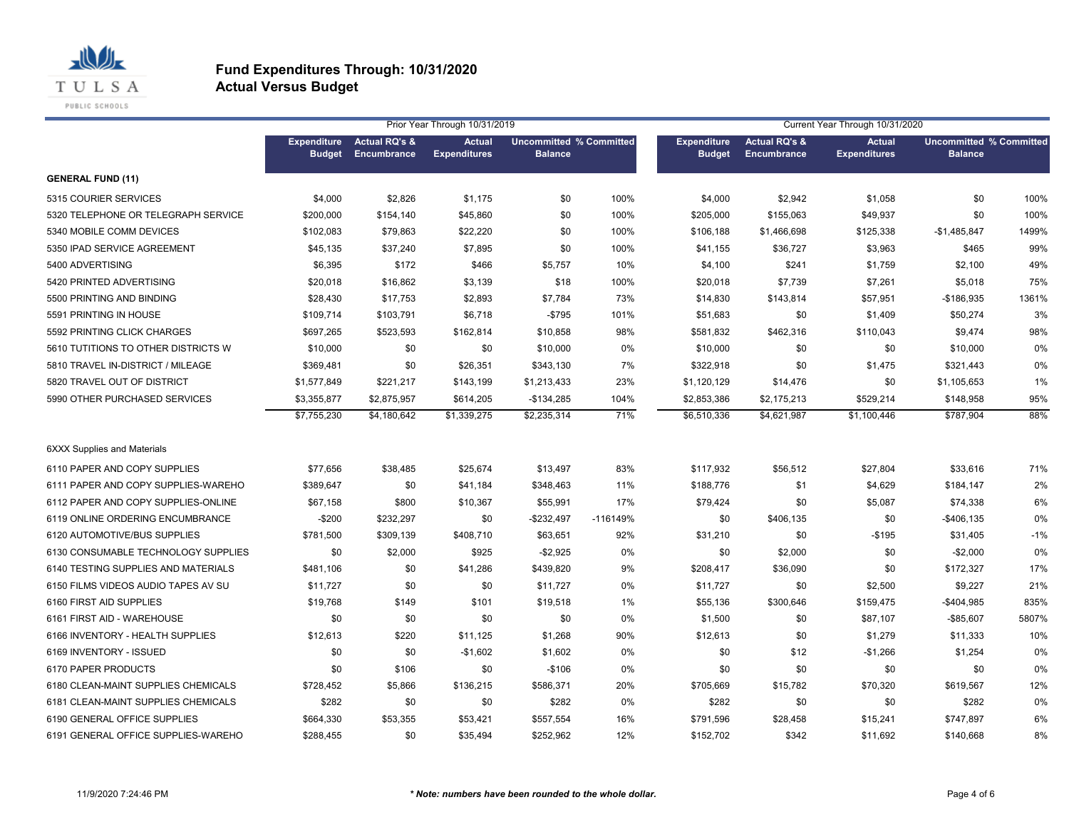

|                                     | Prior Year Through 10/31/2019<br>Current Year Through 10/31/2020 |                                                 |                                      |                                                  |          |                                     |                                                |                                      |                                                  |       |
|-------------------------------------|------------------------------------------------------------------|-------------------------------------------------|--------------------------------------|--------------------------------------------------|----------|-------------------------------------|------------------------------------------------|--------------------------------------|--------------------------------------------------|-------|
|                                     | <b>Budget</b>                                                    | <b>Expenditure</b> Actual RQ's &<br>Encumbrance | <b>Actual</b><br><b>Expenditures</b> | <b>Uncommitted % Committed</b><br><b>Balance</b> |          | <b>Expenditure</b><br><b>Budget</b> | <b>Actual RQ's &amp;</b><br><b>Encumbrance</b> | <b>Actual</b><br><b>Expenditures</b> | <b>Uncommitted % Committed</b><br><b>Balance</b> |       |
| <b>GENERAL FUND (11)</b>            |                                                                  |                                                 |                                      |                                                  |          |                                     |                                                |                                      |                                                  |       |
| 5315 COURIER SERVICES               | \$4,000                                                          | \$2,826                                         | \$1,175                              | \$0                                              | 100%     | \$4,000                             | \$2,942                                        | \$1,058                              | \$0                                              | 100%  |
| 5320 TELEPHONE OR TELEGRAPH SERVICE | \$200,000                                                        | \$154,140                                       | \$45,860                             | \$0                                              | 100%     | \$205,000                           | \$155,063                                      | \$49,937                             | \$0                                              | 100%  |
| 5340 MOBILE COMM DEVICES            | \$102,083                                                        | \$79,863                                        | \$22,220                             | \$0                                              | 100%     | \$106,188                           | \$1,466,698                                    | \$125,338                            | $-$1,485,847$                                    | 1499% |
| 5350 IPAD SERVICE AGREEMENT         | \$45,135                                                         | \$37,240                                        | \$7,895                              | \$0                                              | 100%     | \$41,155                            | \$36,727                                       | \$3,963                              | \$465                                            | 99%   |
| 5400 ADVERTISING                    | \$6,395                                                          | \$172                                           | \$466                                | \$5,757                                          | 10%      | \$4,100                             | \$241                                          | \$1,759                              | \$2,100                                          | 49%   |
| 5420 PRINTED ADVERTISING            | \$20,018                                                         | \$16,862                                        | \$3,139                              | \$18                                             | 100%     | \$20,018                            | \$7,739                                        | \$7,261                              | \$5,018                                          | 75%   |
| 5500 PRINTING AND BINDING           | \$28,430                                                         | \$17,753                                        | \$2,893                              | \$7,784                                          | 73%      | \$14,830                            | \$143,814                                      | \$57,951                             | -\$186,935                                       | 1361% |
| 5591 PRINTING IN HOUSE              | \$109,714                                                        | \$103,791                                       | \$6,718                              | $-$ \$795                                        | 101%     | \$51,683                            | \$0                                            | \$1,409                              | \$50,274                                         | 3%    |
| 5592 PRINTING CLICK CHARGES         | \$697,265                                                        | \$523,593                                       | \$162,814                            | \$10,858                                         | 98%      | \$581,832                           | \$462,316                                      | \$110,043                            | \$9,474                                          | 98%   |
| 5610 TUTITIONS TO OTHER DISTRICTS W | \$10,000                                                         | \$0                                             | \$0                                  | \$10,000                                         | $0\%$    | \$10,000                            | \$0                                            | \$0                                  | \$10,000                                         | 0%    |
| 5810 TRAVEL IN-DISTRICT / MILEAGE   | \$369,481                                                        | \$0                                             | \$26,351                             | \$343,130                                        | 7%       | \$322,918                           | \$0                                            | \$1,475                              | \$321,443                                        | 0%    |
| 5820 TRAVEL OUT OF DISTRICT         | \$1,577,849                                                      | \$221,217                                       | \$143,199                            | \$1,213,433                                      | 23%      | \$1,120,129                         | \$14,476                                       | \$0                                  | \$1,105,653                                      | 1%    |
| 5990 OTHER PURCHASED SERVICES       | \$3,355,877                                                      | \$2,875,957                                     | \$614,205                            | $-$134,285$                                      | 104%     | \$2,853,386                         | \$2,175,213                                    | \$529,214                            | \$148,958                                        | 95%   |
|                                     | \$7,755,230                                                      | \$4,180,642                                     | \$1,339,275                          | \$2,235,314                                      | 71%      | \$6,510,336                         | \$4,621,987                                    | \$1,100,446                          | \$787,904                                        | 88%   |
| <b>6XXX Supplies and Materials</b>  |                                                                  |                                                 |                                      |                                                  |          |                                     |                                                |                                      |                                                  |       |
| 6110 PAPER AND COPY SUPPLIES        | \$77,656                                                         | \$38,485                                        | \$25,674                             | \$13,497                                         | 83%      | \$117,932                           | \$56,512                                       | \$27,804                             | \$33,616                                         | 71%   |
| 6111 PAPER AND COPY SUPPLIES-WAREHO | \$389,647                                                        | \$0                                             | \$41,184                             | \$348,463                                        | 11%      | \$188,776                           | \$1                                            | \$4,629                              | \$184,147                                        | 2%    |
| 6112 PAPER AND COPY SUPPLIES-ONLINE | \$67,158                                                         | \$800                                           | \$10,367                             | \$55,991                                         | 17%      | \$79,424                            | \$0                                            | \$5,087                              | \$74,338                                         | 6%    |
| 6119 ONLINE ORDERING ENCUMBRANCE    | $-$200$                                                          | \$232,297                                       | \$0                                  | $-$ \$232,497                                    | -116149% | \$0                                 | \$406,135                                      | \$0                                  | $-$406,135$                                      | 0%    |
| 6120 AUTOMOTIVE/BUS SUPPLIES        | \$781,500                                                        | \$309,139                                       | \$408,710                            | \$63,651                                         | 92%      | \$31,210                            | \$0                                            | $-$195$                              | \$31,405                                         | $-1%$ |
| 6130 CONSUMABLE TECHNOLOGY SUPPLIES | \$0                                                              | \$2,000                                         | \$925                                | $-$2,925$                                        | 0%       | \$0                                 | \$2,000                                        | \$0                                  | $-$2,000$                                        | 0%    |
| 6140 TESTING SUPPLIES AND MATERIALS | \$481,106                                                        | \$0                                             | \$41,286                             | \$439,820                                        | 9%       | \$208,417                           | \$36,090                                       | \$0                                  | \$172,327                                        | 17%   |
| 6150 FILMS VIDEOS AUDIO TAPES AV SU | \$11,727                                                         | \$0                                             | \$0                                  | \$11,727                                         | 0%       | \$11,727                            | \$0                                            | \$2,500                              | \$9,227                                          | 21%   |
| 6160 FIRST AID SUPPLIES             | \$19,768                                                         | \$149                                           | \$101                                | \$19,518                                         | 1%       | \$55,136                            | \$300,646                                      | \$159,475                            | $-$404,985$                                      | 835%  |
| 6161 FIRST AID - WAREHOUSE          | \$0                                                              | \$0                                             | \$0                                  | \$0                                              | 0%       | \$1,500                             | \$0                                            | \$87,107                             | $-$ \$85,607                                     | 5807% |
| 6166 INVENTORY - HEALTH SUPPLIES    | \$12,613                                                         | \$220                                           | \$11,125                             | \$1,268                                          | 90%      | \$12,613                            | \$0                                            | \$1,279                              | \$11,333                                         | 10%   |
| 6169 INVENTORY - ISSUED             | \$0                                                              | \$0                                             | $-$1,602$                            | \$1,602                                          | $0\%$    | \$0                                 | \$12                                           | $-$1,266$                            | \$1,254                                          | 0%    |
| 6170 PAPER PRODUCTS                 | \$0                                                              | \$106                                           | \$0                                  | $-$106$                                          | 0%       | \$0                                 | \$0                                            | \$0                                  | \$0                                              | 0%    |
| 6180 CLEAN-MAINT SUPPLIES CHEMICALS | \$728,452                                                        | \$5,866                                         | \$136,215                            | \$586,371                                        | 20%      | \$705,669                           | \$15,782                                       | \$70,320                             | \$619,567                                        | 12%   |
| 6181 CLEAN-MAINT SUPPLIES CHEMICALS | \$282                                                            | \$0                                             | \$0                                  | \$282                                            | 0%       | \$282                               | \$0                                            | \$0                                  | \$282                                            | 0%    |
| 6190 GENERAL OFFICE SUPPLIES        | \$664,330                                                        | \$53,355                                        | \$53,421                             | \$557,554                                        | 16%      | \$791,596                           | \$28,458                                       | \$15,241                             | \$747,897                                        | 6%    |
| 6191 GENERAL OFFICE SUPPLIES-WAREHO | \$288.455                                                        | \$0                                             | \$35.494                             | \$252.962                                        | 12%      | \$152,702                           | \$342                                          | \$11,692                             | \$140.668                                        | 8%    |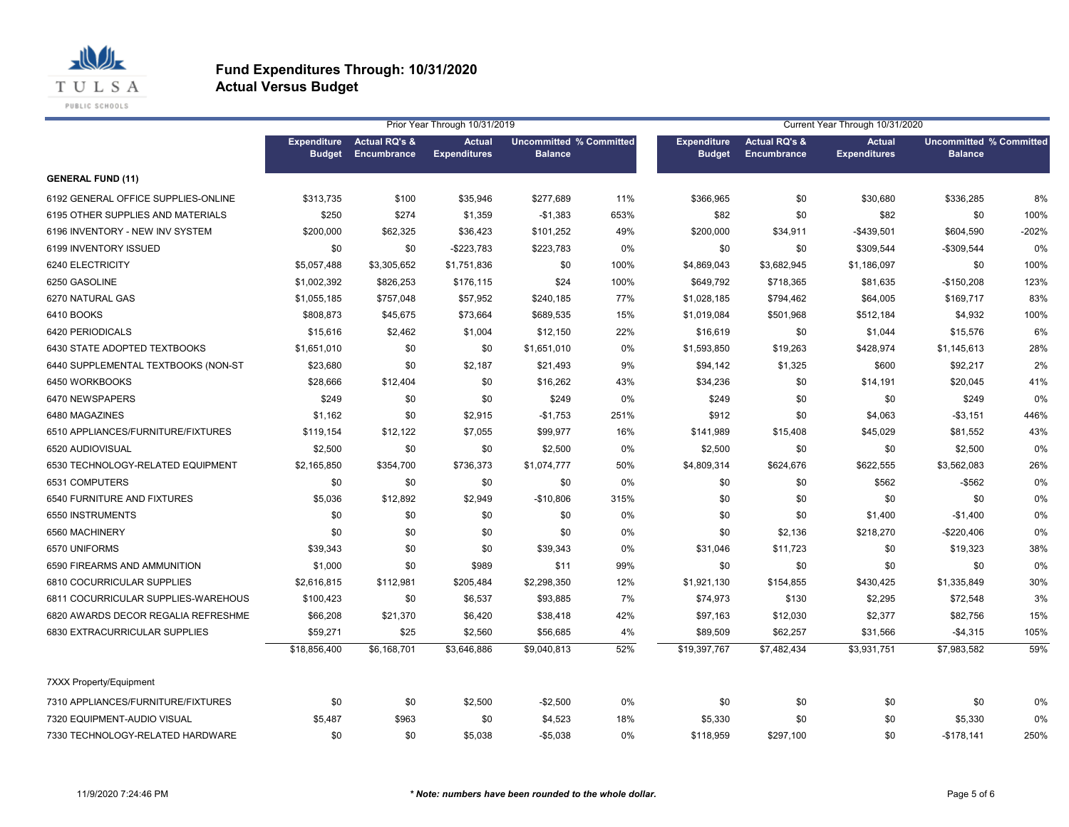

| Prior Year Through 10/31/2019<br>Current Year Through 10/31/2020 |              |                                                               |                                      |                                                  |      |                                     |                                                |                                      |                                                  |         |
|------------------------------------------------------------------|--------------|---------------------------------------------------------------|--------------------------------------|--------------------------------------------------|------|-------------------------------------|------------------------------------------------|--------------------------------------|--------------------------------------------------|---------|
|                                                                  |              | <b>Expenditure</b> Actual RQ's &<br><b>Budget Encumbrance</b> | <b>Actual</b><br><b>Expenditures</b> | <b>Uncommitted % Committed</b><br><b>Balance</b> |      | <b>Expenditure</b><br><b>Budget</b> | <b>Actual RQ's &amp;</b><br><b>Encumbrance</b> | <b>Actual</b><br><b>Expenditures</b> | <b>Uncommitted % Committed</b><br><b>Balance</b> |         |
| <b>GENERAL FUND (11)</b>                                         |              |                                                               |                                      |                                                  |      |                                     |                                                |                                      |                                                  |         |
| 6192 GENERAL OFFICE SUPPLIES-ONLINE                              | \$313,735    | \$100                                                         | \$35,946                             | \$277,689                                        | 11%  | \$366,965                           | \$0                                            | \$30,680                             | \$336,285                                        | 8%      |
| 6195 OTHER SUPPLIES AND MATERIALS                                | \$250        | \$274                                                         | \$1,359                              | $-$1,383$                                        | 653% | \$82                                | \$0                                            | \$82                                 | \$0                                              | 100%    |
| 6196 INVENTORY - NEW INV SYSTEM                                  | \$200,000    | \$62,325                                                      | \$36,423                             | \$101,252                                        | 49%  | \$200,000                           | \$34,911                                       | $-$439,501$                          | \$604,590                                        | $-202%$ |
| 6199 INVENTORY ISSUED                                            | \$0          | \$0                                                           | -\$223,783                           | \$223,783                                        | 0%   | \$0                                 | \$0                                            | \$309,544                            | -\$309,544                                       | 0%      |
| 6240 ELECTRICITY                                                 | \$5,057,488  | \$3,305,652                                                   | \$1,751,836                          | \$0                                              | 100% | \$4,869,043                         | \$3,682,945                                    | \$1,186,097                          | \$0                                              | 100%    |
| 6250 GASOLINE                                                    | \$1,002,392  | \$826,253                                                     | \$176,115                            | \$24                                             | 100% | \$649,792                           | \$718,365                                      | \$81,635                             | $-$150,208$                                      | 123%    |
| 6270 NATURAL GAS                                                 | \$1,055,185  | \$757,048                                                     | \$57,952                             | \$240,185                                        | 77%  | \$1,028,185                         | \$794,462                                      | \$64,005                             | \$169,717                                        | 83%     |
| 6410 BOOKS                                                       | \$808,873    | \$45,675                                                      | \$73,664                             | \$689,535                                        | 15%  | \$1,019,084                         | \$501,968                                      | \$512,184                            | \$4,932                                          | 100%    |
| 6420 PERIODICALS                                                 | \$15,616     | \$2,462                                                       | \$1,004                              | \$12,150                                         | 22%  | \$16,619                            | \$0                                            | \$1,044                              | \$15,576                                         | 6%      |
| 6430 STATE ADOPTED TEXTBOOKS                                     | \$1,651,010  | \$0                                                           | \$0                                  | \$1,651,010                                      | 0%   | \$1,593,850                         | \$19,263                                       | \$428,974                            | \$1,145,613                                      | 28%     |
| 6440 SUPPLEMENTAL TEXTBOOKS (NON-ST                              | \$23,680     | \$0                                                           | \$2,187                              | \$21,493                                         | 9%   | \$94,142                            | \$1,325                                        | \$600                                | \$92,217                                         | 2%      |
| 6450 WORKBOOKS                                                   | \$28,666     | \$12,404                                                      | \$0                                  | \$16,262                                         | 43%  | \$34,236                            | \$0                                            | \$14,191                             | \$20,045                                         | 41%     |
| 6470 NEWSPAPERS                                                  | \$249        | \$0                                                           | \$0                                  | \$249                                            | 0%   | \$249                               | \$0                                            | \$0                                  | \$249                                            | 0%      |
| 6480 MAGAZINES                                                   | \$1,162      | \$0                                                           | \$2,915                              | $-$1,753$                                        | 251% | \$912                               | \$0                                            | \$4,063                              | $-$3,151$                                        | 446%    |
| 6510 APPLIANCES/FURNITURE/FIXTURES                               | \$119,154    | \$12,122                                                      | \$7,055                              | \$99,977                                         | 16%  | \$141,989                           | \$15,408                                       | \$45,029                             | \$81,552                                         | 43%     |
| 6520 AUDIOVISUAL                                                 | \$2,500      | \$0                                                           | \$0                                  | \$2,500                                          | 0%   | \$2,500                             | \$0                                            | \$0                                  | \$2,500                                          | 0%      |
| 6530 TECHNOLOGY-RELATED EQUIPMENT                                | \$2,165,850  | \$354,700                                                     | \$736,373                            | \$1,074,777                                      | 50%  | \$4,809,314                         | \$624,676                                      | \$622,555                            | \$3,562,083                                      | 26%     |
| 6531 COMPUTERS                                                   | \$0          | \$0                                                           | \$0                                  | \$0                                              | 0%   | \$0                                 | \$0                                            | \$562                                | $-$ \$562                                        | 0%      |
| 6540 FURNITURE AND FIXTURES                                      | \$5,036      | \$12,892                                                      | \$2,949                              | $-$10,806$                                       | 315% | \$0                                 | \$0                                            | \$0                                  | \$0                                              | 0%      |
| 6550 INSTRUMENTS                                                 | \$0          | \$0                                                           | \$0                                  | \$0                                              | 0%   | \$0                                 | \$0                                            | \$1,400                              | $-$1,400$                                        | 0%      |
| 6560 MACHINERY                                                   | \$0          | \$0                                                           | \$0                                  | \$0                                              | 0%   | \$0                                 | \$2,136                                        | \$218,270                            | $-$220,406$                                      | 0%      |
| 6570 UNIFORMS                                                    | \$39,343     | \$0                                                           | \$0                                  | \$39,343                                         | 0%   | \$31,046                            | \$11,723                                       | \$0                                  | \$19,323                                         | 38%     |
| 6590 FIREARMS AND AMMUNITION                                     | \$1,000      | \$0                                                           | \$989                                | \$11                                             | 99%  | \$0                                 | \$0                                            | \$0                                  | \$0                                              | 0%      |
| 6810 COCURRICULAR SUPPLIES                                       | \$2,616,815  | \$112,981                                                     | \$205,484                            | \$2,298,350                                      | 12%  | \$1,921,130                         | \$154,855                                      | \$430,425                            | \$1,335,849                                      | 30%     |
| 6811 COCURRICULAR SUPPLIES-WAREHOUS                              | \$100,423    | \$0                                                           | \$6,537                              | \$93,885                                         | 7%   | \$74,973                            | \$130                                          | \$2,295                              | \$72,548                                         | 3%      |
| 6820 AWARDS DECOR REGALIA REFRESHME                              | \$66,208     | \$21,370                                                      | \$6,420                              | \$38,418                                         | 42%  | \$97,163                            | \$12,030                                       | \$2,377                              | \$82,756                                         | 15%     |
| 6830 EXTRACURRICULAR SUPPLIES                                    | \$59,271     | \$25                                                          | \$2,560                              | \$56,685                                         | 4%   | \$89,509                            | \$62,257                                       | \$31,566                             | $-$4,315$                                        | 105%    |
|                                                                  | \$18,856,400 | \$6,168,701                                                   | \$3,646,886                          | \$9,040,813                                      | 52%  | \$19,397,767                        | \$7,482,434                                    | \$3,931,751                          | \$7,983,582                                      | 59%     |
| 7XXX Property/Equipment                                          |              |                                                               |                                      |                                                  |      |                                     |                                                |                                      |                                                  |         |
| 7310 APPLIANCES/FURNITURE/FIXTURES                               | \$0          | \$0                                                           | \$2,500                              | $-$2,500$                                        | 0%   | \$0                                 | \$0                                            | \$0                                  | \$0                                              | 0%      |
| 7320 EQUIPMENT-AUDIO VISUAL                                      | \$5,487      | \$963                                                         | \$0                                  | \$4,523                                          | 18%  | \$5,330                             | \$0                                            | \$0                                  | \$5,330                                          | 0%      |
| 7330 TECHNOLOGY-RELATED HARDWARE                                 | \$0          | \$0                                                           | \$5,038                              | $-$5,038$                                        | 0%   | \$118,959                           | \$297,100                                      | \$0                                  | $-$178,141$                                      | 250%    |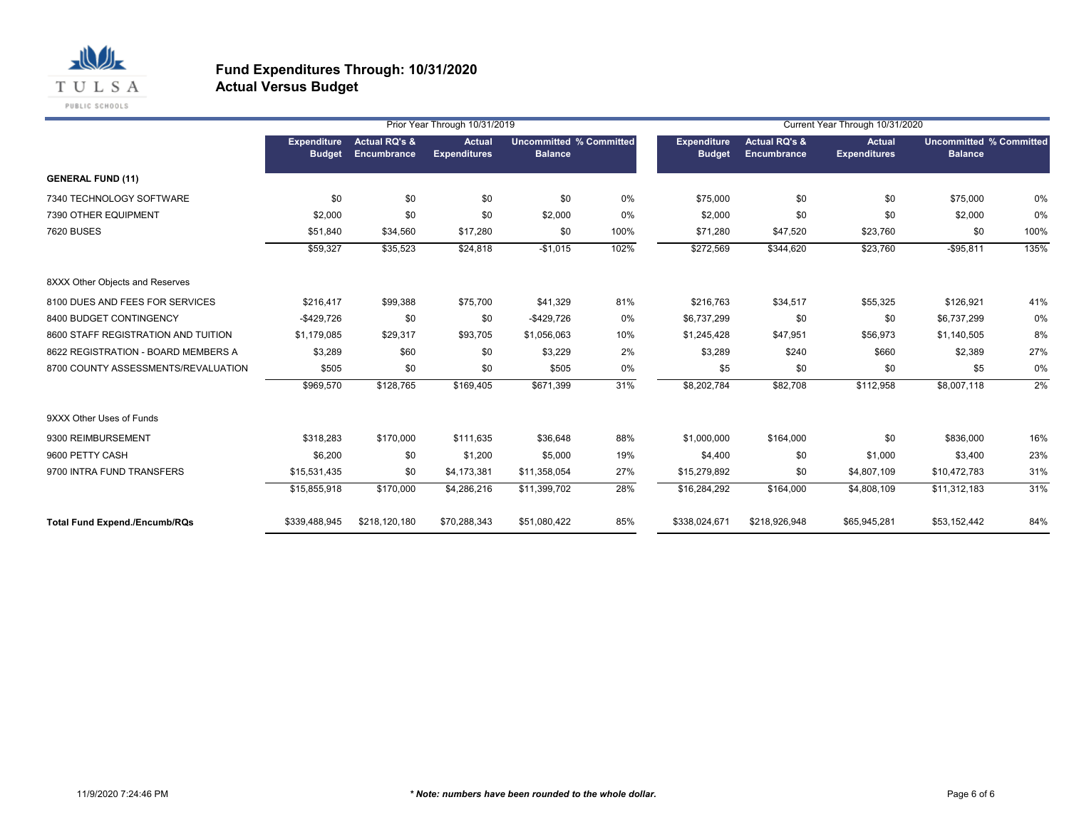

|                                      |                                     |                                         | Prior Year Through 10/31/2019        |                                                  |      | Current Year Through 10/31/2020     |                                         |                                      |                                                  |      |  |
|--------------------------------------|-------------------------------------|-----------------------------------------|--------------------------------------|--------------------------------------------------|------|-------------------------------------|-----------------------------------------|--------------------------------------|--------------------------------------------------|------|--|
|                                      | <b>Expenditure</b><br><b>Budget</b> | <b>Actual RQ's &amp;</b><br>Encumbrance | <b>Actual</b><br><b>Expenditures</b> | <b>Uncommitted % Committed</b><br><b>Balance</b> |      | <b>Expenditure</b><br><b>Budget</b> | <b>Actual RQ's &amp;</b><br>Encumbrance | <b>Actual</b><br><b>Expenditures</b> | <b>Uncommitted % Committed</b><br><b>Balance</b> |      |  |
| <b>GENERAL FUND (11)</b>             |                                     |                                         |                                      |                                                  |      |                                     |                                         |                                      |                                                  |      |  |
| 7340 TECHNOLOGY SOFTWARE             | \$0                                 | \$0                                     | \$0                                  | \$0                                              | 0%   | \$75,000                            | \$0                                     | \$0                                  | \$75,000                                         | 0%   |  |
| 7390 OTHER EQUIPMENT                 | \$2,000                             | \$0                                     | \$0                                  | \$2,000                                          | 0%   | \$2,000                             | \$0                                     | \$0                                  | \$2,000                                          | 0%   |  |
| <b>7620 BUSES</b>                    | \$51,840                            | \$34,560                                | \$17,280                             | \$0                                              | 100% | \$71,280                            | \$47,520                                | \$23,760                             | \$0                                              | 100% |  |
|                                      | \$59,327                            | \$35,523                                | \$24,818                             | $-$1,015$                                        | 102% | \$272,569                           | \$344,620                               | \$23,760                             | $-$95,811$                                       | 135% |  |
| 8XXX Other Objects and Reserves      |                                     |                                         |                                      |                                                  |      |                                     |                                         |                                      |                                                  |      |  |
| 8100 DUES AND FEES FOR SERVICES      | \$216,417                           | \$99,388                                | \$75,700                             | \$41,329                                         | 81%  | \$216,763                           | \$34,517                                | \$55,325                             | \$126,921                                        | 41%  |  |
| 8400 BUDGET CONTINGENCY              | $-$429,726$                         | \$0                                     | \$0                                  | $-$429,726$                                      | 0%   | \$6,737,299                         | \$0                                     | \$0                                  | \$6,737,299                                      | 0%   |  |
| 8600 STAFF REGISTRATION AND TUITION  | \$1,179,085                         | \$29,317                                | \$93,705                             | \$1,056,063                                      | 10%  | \$1,245,428                         | \$47,951                                | \$56,973                             | \$1,140,505                                      | 8%   |  |
| 8622 REGISTRATION - BOARD MEMBERS A  | \$3,289                             | \$60                                    | \$0                                  | \$3,229                                          | 2%   | \$3,289                             | \$240                                   | \$660                                | \$2,389                                          | 27%  |  |
| 8700 COUNTY ASSESSMENTS/REVALUATION  | \$505                               | \$0                                     | \$0                                  | \$505                                            | 0%   | \$5                                 | \$0                                     | \$0                                  | \$5                                              | 0%   |  |
|                                      | \$969,570                           | \$128,765                               | \$169,405                            | \$671,399                                        | 31%  | \$8,202,784                         | \$82,708                                | \$112,958                            | \$8,007,118                                      | 2%   |  |
| 9XXX Other Uses of Funds             |                                     |                                         |                                      |                                                  |      |                                     |                                         |                                      |                                                  |      |  |
| 9300 REIMBURSEMENT                   | \$318,283                           | \$170,000                               | \$111.635                            | \$36,648                                         | 88%  | \$1,000,000                         | \$164,000                               | \$0                                  | \$836,000                                        | 16%  |  |
| 9600 PETTY CASH                      | \$6,200                             | \$0                                     | \$1,200                              | \$5,000                                          | 19%  | \$4,400                             | \$0                                     | \$1,000                              | \$3,400                                          | 23%  |  |
| 9700 INTRA FUND TRANSFERS            | \$15,531,435                        | \$0                                     | \$4,173,381                          | \$11,358,054                                     | 27%  | \$15,279,892                        | \$0                                     | \$4,807,109                          | \$10,472,783                                     | 31%  |  |
|                                      | \$15,855,918                        | \$170,000                               | \$4,286,216                          | \$11,399,702                                     | 28%  | \$16,284,292                        | \$164,000                               | \$4,808,109                          | \$11,312,183                                     | 31%  |  |
| <b>Total Fund Expend./Encumb/RQs</b> | \$339.488.945                       | \$218,120,180                           | \$70,288,343                         | \$51,080,422                                     | 85%  | \$338,024,671                       | \$218,926,948                           | \$65,945,281                         | \$53,152,442                                     | 84%  |  |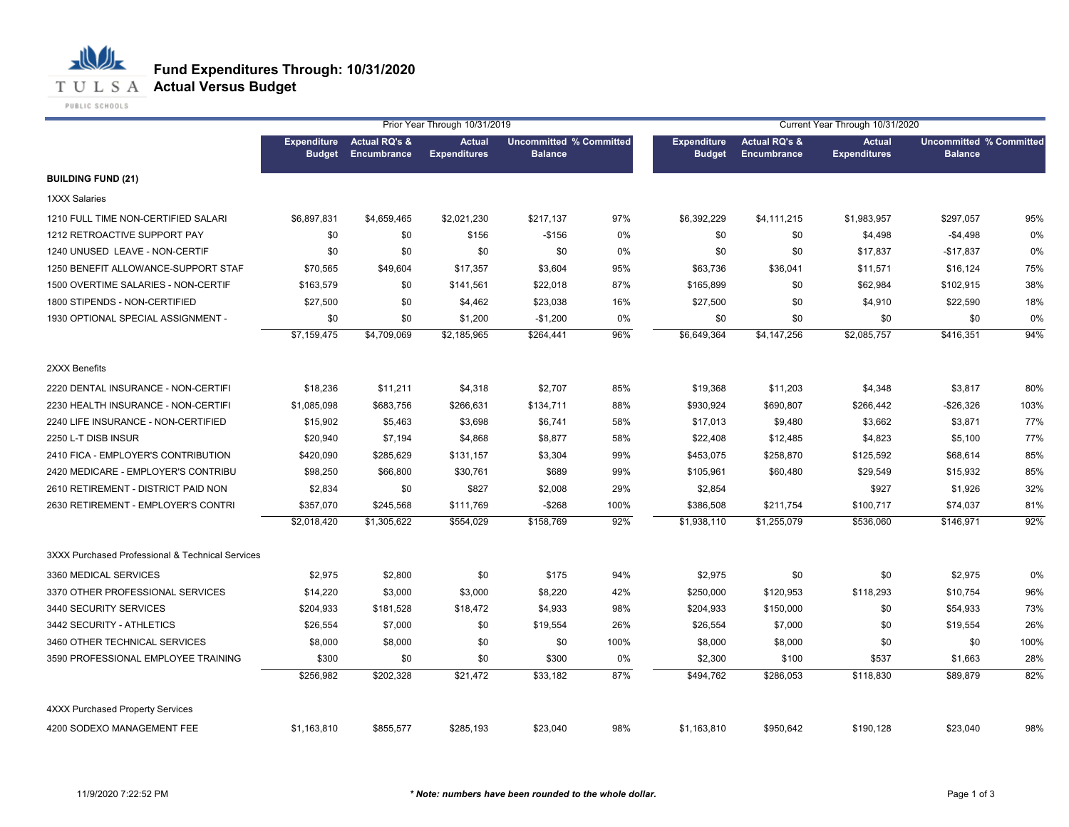

PUBLIC SCHOOLS

|                                                  |                                     |                                                | Prior Year Through 10/31/2019        |                                                  | Current Year Through 10/31/2020 |                                     |                                                |                                      |                                                  |      |
|--------------------------------------------------|-------------------------------------|------------------------------------------------|--------------------------------------|--------------------------------------------------|---------------------------------|-------------------------------------|------------------------------------------------|--------------------------------------|--------------------------------------------------|------|
|                                                  | <b>Expenditure</b><br><b>Budget</b> | <b>Actual RQ's &amp;</b><br><b>Encumbrance</b> | <b>Actual</b><br><b>Expenditures</b> | <b>Uncommitted % Committed</b><br><b>Balance</b> |                                 | <b>Expenditure</b><br><b>Budget</b> | <b>Actual RQ's &amp;</b><br><b>Encumbrance</b> | <b>Actual</b><br><b>Expenditures</b> | <b>Uncommitted % Committed</b><br><b>Balance</b> |      |
| <b>BUILDING FUND (21)</b>                        |                                     |                                                |                                      |                                                  |                                 |                                     |                                                |                                      |                                                  |      |
| <b>1XXX Salaries</b>                             |                                     |                                                |                                      |                                                  |                                 |                                     |                                                |                                      |                                                  |      |
| 1210 FULL TIME NON-CERTIFIED SALARI              | \$6,897,831                         | \$4,659,465                                    | \$2,021,230                          | \$217,137                                        | 97%                             | \$6,392,229                         | \$4,111,215                                    | \$1,983,957                          | \$297,057                                        | 95%  |
| 1212 RETROACTIVE SUPPORT PAY                     | \$0                                 | \$0                                            | \$156                                | $-$156$                                          | 0%                              | \$0                                 | \$0                                            | \$4,498                              | $-$4,498$                                        | 0%   |
| 1240 UNUSED LEAVE - NON-CERTIF                   | \$0                                 | \$0                                            | \$0                                  | \$0                                              | 0%                              | \$0                                 | \$0                                            | \$17,837                             | $-$17,837$                                       | 0%   |
| 1250 BENEFIT ALLOWANCE-SUPPORT STAF              | \$70,565                            | \$49,604                                       | \$17,357                             | \$3,604                                          | 95%                             | \$63,736                            | \$36,041                                       | \$11,571                             | \$16,124                                         | 75%  |
| 1500 OVERTIME SALARIES - NON-CERTIF              | \$163,579                           | \$0                                            | \$141,561                            | \$22,018                                         | 87%                             | \$165,899                           | \$0                                            | \$62,984                             | \$102,915                                        | 38%  |
| 1800 STIPENDS - NON-CERTIFIED                    | \$27,500                            | \$0                                            | \$4,462                              | \$23,038                                         | 16%                             | \$27,500                            | \$0                                            | \$4,910                              | \$22,590                                         | 18%  |
| 1930 OPTIONAL SPECIAL ASSIGNMENT -               | \$0                                 | \$0                                            | \$1,200                              | $-$1,200$                                        | 0%                              | \$0                                 | \$0                                            | \$0                                  | \$0                                              | 0%   |
|                                                  | \$7,159,475                         | \$4,709,069                                    | \$2,185,965                          | \$264,441                                        | 96%                             | \$6,649,364                         | \$4,147,256                                    | \$2,085,757                          | \$416,351                                        | 94%  |
| 2XXX Benefits                                    |                                     |                                                |                                      |                                                  |                                 |                                     |                                                |                                      |                                                  |      |
| 2220 DENTAL INSURANCE - NON-CERTIFI              | \$18,236                            | \$11,211                                       | \$4,318                              | \$2,707                                          | 85%                             | \$19,368                            | \$11,203                                       | \$4,348                              | \$3,817                                          | 80%  |
| 2230 HEALTH INSURANCE - NON-CERTIFI              | \$1,085,098                         | \$683,756                                      | \$266,631                            | \$134,711                                        | 88%                             | \$930,924                           | \$690,807                                      | \$266,442                            | $-$26,326$                                       | 103% |
| 2240 LIFE INSURANCE - NON-CERTIFIED              | \$15,902                            | \$5,463                                        | \$3,698                              | \$6,741                                          | 58%                             | \$17,013                            | \$9,480                                        | \$3,662                              | \$3,871                                          | 77%  |
| 2250 L-T DISB INSUR                              | \$20,940                            | \$7,194                                        | \$4,868                              | \$8,877                                          | 58%                             | \$22,408                            | \$12,485                                       | \$4,823                              | \$5,100                                          | 77%  |
| 2410 FICA - EMPLOYER'S CONTRIBUTION              | \$420,090                           | \$285,629                                      | \$131,157                            | \$3,304                                          | 99%                             | \$453,075                           | \$258,870                                      | \$125,592                            | \$68,614                                         | 85%  |
| 2420 MEDICARE - EMPLOYER'S CONTRIBU              | \$98,250                            | \$66,800                                       | \$30,761                             | \$689                                            | 99%                             | \$105,961                           | \$60,480                                       | \$29,549                             | \$15,932                                         | 85%  |
| 2610 RETIREMENT - DISTRICT PAID NON              | \$2,834                             | \$0                                            | \$827                                | \$2,008                                          | 29%                             | \$2,854                             |                                                | \$927                                | \$1,926                                          | 32%  |
| 2630 RETIREMENT - EMPLOYER'S CONTRI              | \$357,070                           | \$245,568                                      | \$111,769                            | $-$268$                                          | 100%                            | \$386,508                           | \$211,754                                      | \$100,717                            | \$74,037                                         | 81%  |
|                                                  | \$2,018,420                         | \$1,305,622                                    | \$554.029                            | \$158,769                                        | 92%                             | \$1,938,110                         | \$1,255,079                                    | \$536.060                            | \$146,971                                        | 92%  |
| 3XXX Purchased Professional & Technical Services |                                     |                                                |                                      |                                                  |                                 |                                     |                                                |                                      |                                                  |      |
| 3360 MEDICAL SERVICES                            | \$2,975                             | \$2,800                                        | \$0                                  | \$175                                            | 94%                             | \$2,975                             | \$0                                            | \$0                                  | \$2,975                                          | 0%   |
| 3370 OTHER PROFESSIONAL SERVICES                 | \$14,220                            | \$3,000                                        | \$3,000                              | \$8,220                                          | 42%                             | \$250,000                           | \$120,953                                      | \$118,293                            | \$10,754                                         | 96%  |
| 3440 SECURITY SERVICES                           | \$204,933                           | \$181,528                                      | \$18,472                             | \$4,933                                          | 98%                             | \$204,933                           | \$150,000                                      | \$0                                  | \$54,933                                         | 73%  |
| 3442 SECURITY - ATHLETICS                        | \$26,554                            | \$7,000                                        | \$0                                  | \$19,554                                         | 26%                             | \$26,554                            | \$7,000                                        | \$0                                  | \$19,554                                         | 26%  |
| 3460 OTHER TECHNICAL SERVICES                    | \$8,000                             | \$8,000                                        | \$0                                  | \$0                                              | 100%                            | \$8,000                             | \$8,000                                        | \$0                                  | \$0                                              | 100% |
| 3590 PROFESSIONAL EMPLOYEE TRAINING              | \$300                               | \$0                                            | \$0                                  | \$300                                            | 0%                              | \$2,300                             | \$100                                          | \$537                                | \$1,663                                          | 28%  |
|                                                  | \$256,982                           | \$202,328                                      | \$21,472                             | \$33,182                                         | 87%                             | \$494,762                           | \$286,053                                      | \$118,830                            | \$89,879                                         | 82%  |
| <b>4XXX Purchased Property Services</b>          |                                     |                                                |                                      |                                                  |                                 |                                     |                                                |                                      |                                                  |      |
| 4200 SODEXO MANAGEMENT FEE                       | \$1,163,810                         | \$855,577                                      | \$285,193                            | \$23,040                                         | 98%                             | \$1,163,810                         | \$950,642                                      | \$190,128                            | \$23,040                                         | 98%  |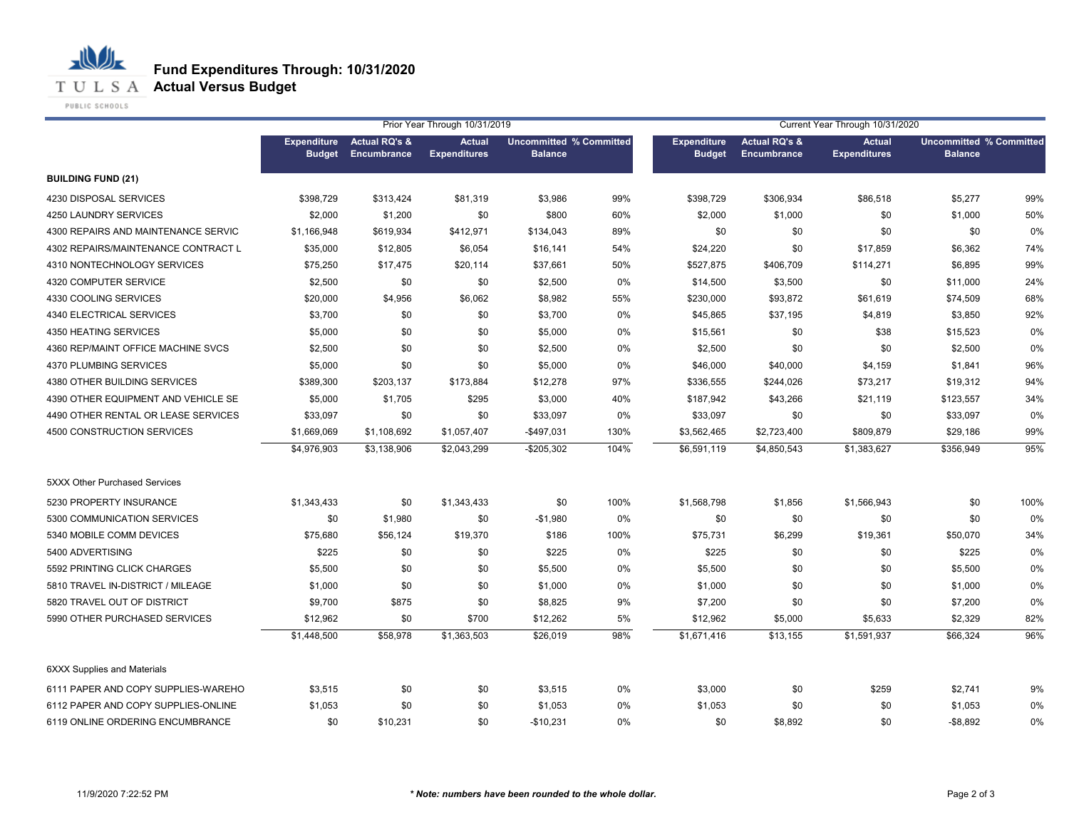**Fund Expenditures Through: 10/31/2020**

**T U L S A Actual Versus Budget** 

PUBLIC SCHOOLS

|                                     |                                     |                                         | Prior Year Through 10/31/2019        |                                                  |      |                                     |                                         | Current Year Through 10/31/2020 | <b>Uncommitted % Committed</b><br><b>Actual</b> |      |  |  |
|-------------------------------------|-------------------------------------|-----------------------------------------|--------------------------------------|--------------------------------------------------|------|-------------------------------------|-----------------------------------------|---------------------------------|-------------------------------------------------|------|--|--|
|                                     | <b>Expenditure</b><br><b>Budget</b> | <b>Actual RQ's &amp;</b><br>Encumbrance | <b>Actual</b><br><b>Expenditures</b> | <b>Uncommitted % Committed</b><br><b>Balance</b> |      | <b>Expenditure</b><br><b>Budget</b> | <b>Actual RQ's &amp;</b><br>Encumbrance | <b>Expenditures</b>             | <b>Balance</b>                                  |      |  |  |
| <b>BUILDING FUND (21)</b>           |                                     |                                         |                                      |                                                  |      |                                     |                                         |                                 |                                                 |      |  |  |
| 4230 DISPOSAL SERVICES              | \$398,729                           | \$313,424                               | \$81,319                             | \$3,986                                          | 99%  | \$398,729                           | \$306,934                               | \$86,518                        | \$5,277                                         | 99%  |  |  |
| 4250 LAUNDRY SERVICES               | \$2,000                             | \$1,200                                 | \$0                                  | \$800                                            | 60%  | \$2,000                             | \$1,000                                 | \$0                             | \$1,000                                         | 50%  |  |  |
| 4300 REPAIRS AND MAINTENANCE SERVIC | \$1,166,948                         | \$619,934                               | \$412,971                            | \$134,043                                        | 89%  | \$0                                 | \$0                                     | \$0                             | \$0                                             | 0%   |  |  |
| 4302 REPAIRS/MAINTENANCE CONTRACT L | \$35,000                            | \$12,805                                | \$6,054                              | \$16,141                                         | 54%  | \$24,220                            | \$0                                     | \$17,859                        | \$6,362                                         | 74%  |  |  |
| 4310 NONTECHNOLOGY SERVICES         | \$75,250                            | \$17,475                                | \$20,114                             | \$37,661                                         | 50%  | \$527,875                           | \$406,709                               | \$114,271                       | \$6,895                                         | 99%  |  |  |
| 4320 COMPUTER SERVICE               | \$2,500                             | \$0                                     | \$0                                  | \$2,500                                          | 0%   | \$14,500                            | \$3,500                                 | \$0                             | \$11,000                                        | 24%  |  |  |
| 4330 COOLING SERVICES               | \$20,000                            | \$4,956                                 | \$6,062                              | \$8,982                                          | 55%  | \$230,000                           | \$93,872                                | \$61,619                        | \$74,509                                        | 68%  |  |  |
| 4340 ELECTRICAL SERVICES            | \$3,700                             | \$0                                     | \$0                                  | \$3,700                                          | 0%   | \$45,865                            | \$37,195                                | \$4,819                         | \$3,850                                         | 92%  |  |  |
| 4350 HEATING SERVICES               | \$5,000                             | \$0                                     | \$0                                  | \$5,000                                          | 0%   | \$15,561                            | \$0                                     | \$38                            | \$15,523                                        | 0%   |  |  |
| 4360 REP/MAINT OFFICE MACHINE SVCS  | \$2,500                             | \$0                                     | \$0                                  | \$2,500                                          | 0%   | \$2,500                             | \$0                                     | \$0                             | \$2,500                                         | 0%   |  |  |
| 4370 PLUMBING SERVICES              | \$5,000                             | \$0                                     | \$0                                  | \$5,000                                          | 0%   | \$46,000                            | \$40,000                                | \$4,159                         | \$1,841                                         | 96%  |  |  |
| 4380 OTHER BUILDING SERVICES        | \$389,300                           | \$203,137                               | \$173,884                            | \$12,278                                         | 97%  | \$336,555                           | \$244,026                               | \$73,217                        | \$19,312                                        | 94%  |  |  |
| 4390 OTHER EQUIPMENT AND VEHICLE SE | \$5,000                             | \$1,705                                 | \$295                                | \$3,000                                          | 40%  | \$187,942                           | \$43,266                                | \$21,119                        | \$123,557                                       | 34%  |  |  |
| 4490 OTHER RENTAL OR LEASE SERVICES | \$33,097                            | \$0                                     | \$0                                  | \$33,097                                         | 0%   | \$33,097                            | \$0                                     | \$0                             | \$33,097                                        | 0%   |  |  |
| 4500 CONSTRUCTION SERVICES          | \$1,669,069                         | \$1,108,692                             | \$1,057,407                          | $-$497,031$                                      | 130% | \$3,562,465                         | \$2,723,400                             | \$809,879                       | \$29,186                                        | 99%  |  |  |
|                                     | \$4,976,903                         | \$3,138,906                             | \$2,043,299                          | $-$205,302$                                      | 104% | \$6,591,119                         | \$4,850,543                             | \$1,383,627                     | \$356,949                                       | 95%  |  |  |
| 5XXX Other Purchased Services       |                                     |                                         |                                      |                                                  |      |                                     |                                         |                                 |                                                 |      |  |  |
| 5230 PROPERTY INSURANCE             | \$1,343,433                         | \$0                                     | \$1,343,433                          | \$0                                              | 100% | \$1,568,798                         | \$1,856                                 | \$1,566,943                     | \$0                                             | 100% |  |  |
| 5300 COMMUNICATION SERVICES         | \$0                                 | \$1,980                                 | \$0                                  | $-$1,980$                                        | 0%   | \$0                                 | \$0                                     | \$0                             | \$0                                             | 0%   |  |  |
| 5340 MOBILE COMM DEVICES            | \$75,680                            | \$56,124                                | \$19,370                             | \$186                                            | 100% | \$75,731                            | \$6,299                                 | \$19,361                        | \$50,070                                        | 34%  |  |  |
| 5400 ADVERTISING                    | \$225                               | \$0                                     | \$0                                  | \$225                                            | 0%   | \$225                               | \$0                                     | \$0                             | \$225                                           | 0%   |  |  |
| 5592 PRINTING CLICK CHARGES         | \$5,500                             | \$0                                     | \$0                                  | \$5,500                                          | 0%   | \$5,500                             | \$0                                     | \$0                             | \$5,500                                         | 0%   |  |  |
| 5810 TRAVEL IN-DISTRICT / MILEAGE   | \$1,000                             | \$0                                     | \$0                                  | \$1,000                                          | 0%   | \$1,000                             | \$0                                     | \$0                             | \$1,000                                         | 0%   |  |  |
| 5820 TRAVEL OUT OF DISTRICT         | \$9,700                             | \$875                                   | \$0                                  | \$8,825                                          | 9%   | \$7,200                             | \$0                                     | \$0                             | \$7,200                                         | 0%   |  |  |
| 5990 OTHER PURCHASED SERVICES       | \$12,962                            | \$0                                     | \$700                                | \$12,262                                         | 5%   | \$12,962                            | \$5,000                                 | \$5,633                         | \$2,329                                         | 82%  |  |  |
|                                     | \$1,448,500                         | \$58,978                                | \$1,363,503                          | \$26.019                                         | 98%  | \$1,671,416                         | \$13,155                                | \$1,591,937                     | \$66,324                                        | 96%  |  |  |
| <b>6XXX Supplies and Materials</b>  |                                     |                                         |                                      |                                                  |      |                                     |                                         |                                 |                                                 |      |  |  |
| 6111 PAPER AND COPY SUPPLIES-WAREHO | \$3,515                             | \$0                                     | \$0                                  | \$3,515                                          | 0%   | \$3,000                             | \$0                                     | \$259                           | \$2,741                                         | 9%   |  |  |
| 6112 PAPER AND COPY SUPPLIES-ONLINE | \$1,053                             | \$0                                     | \$0                                  | \$1,053                                          | 0%   | \$1,053                             | \$0                                     | \$0                             | \$1,053                                         | 0%   |  |  |
| 6119 ONLINE ORDERING ENCUMBRANCE    | \$0                                 | \$10,231                                | \$0                                  | $-$10,231$                                       | 0%   | \$0                                 | \$8,892                                 | \$0                             | $-$ \$8,892                                     | 0%   |  |  |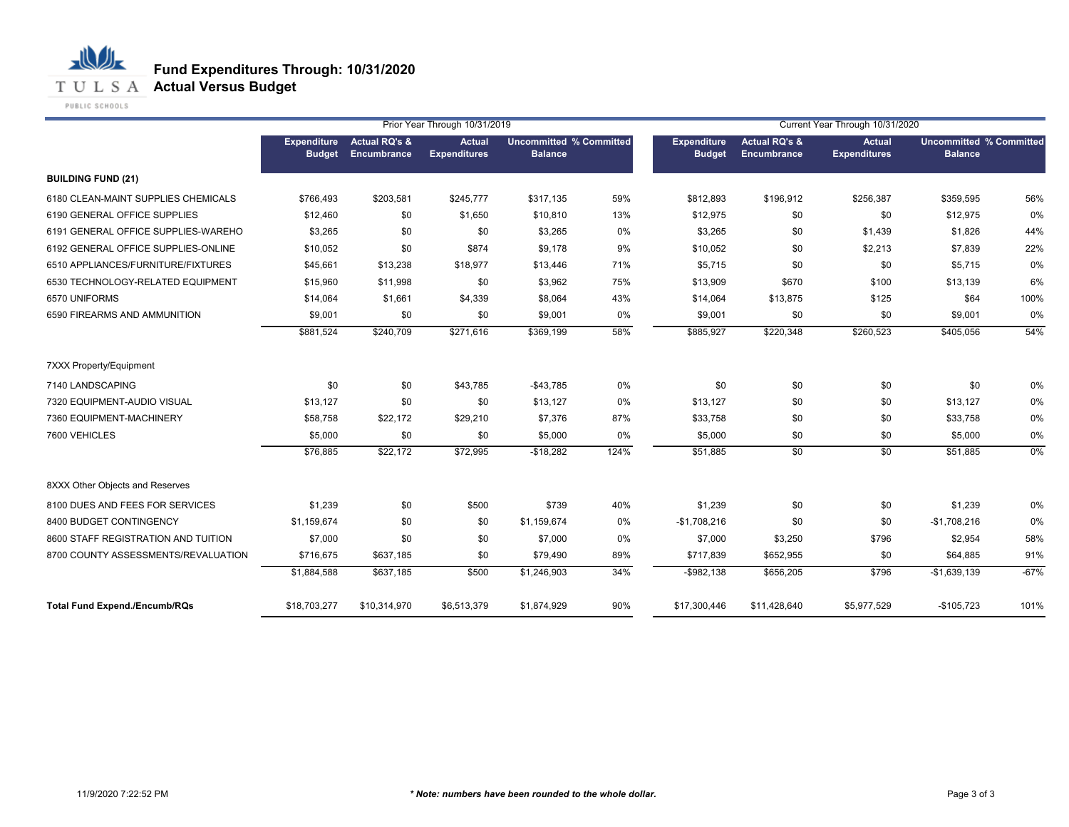

PUBLIC SCHOOLS

|                                      |                              |                                                | Prior Year Through 10/31/2019 |                                                  |      | Current Year Through 10/31/2020 |                                         |                                      |                                                  |        |
|--------------------------------------|------------------------------|------------------------------------------------|-------------------------------|--------------------------------------------------|------|---------------------------------|-----------------------------------------|--------------------------------------|--------------------------------------------------|--------|
|                                      | Expenditure<br><b>Budget</b> | <b>Actual RQ's &amp;</b><br><b>Encumbrance</b> | Actual<br><b>Expenditures</b> | <b>Uncommitted % Committed</b><br><b>Balance</b> |      | Expenditure<br><b>Budget</b>    | <b>Actual RQ's &amp;</b><br>Encumbrance | <b>Actual</b><br><b>Expenditures</b> | <b>Uncommitted % Committed</b><br><b>Balance</b> |        |
| <b>BUILDING FUND (21)</b>            |                              |                                                |                               |                                                  |      |                                 |                                         |                                      |                                                  |        |
| 6180 CLEAN-MAINT SUPPLIES CHEMICALS  | \$766,493                    | \$203,581                                      | \$245,777                     | \$317,135                                        | 59%  | \$812,893                       | \$196,912                               | \$256,387                            | \$359,595                                        | 56%    |
| 6190 GENERAL OFFICE SUPPLIES         | \$12,460                     | \$0                                            | \$1,650                       | \$10,810                                         | 13%  | \$12,975                        | \$0                                     | \$0                                  | \$12,975                                         | 0%     |
| 6191 GENERAL OFFICE SUPPLIES-WAREHO  | \$3,265                      | \$0                                            | \$0                           | \$3,265                                          | 0%   | \$3,265                         | \$0                                     | \$1,439                              | \$1,826                                          | 44%    |
| 6192 GENERAL OFFICE SUPPLIES-ONLINE  | \$10,052                     | \$0                                            | \$874                         | \$9,178                                          | 9%   | \$10,052                        | \$0                                     | \$2,213                              | \$7,839                                          | 22%    |
| 6510 APPLIANCES/FURNITURE/FIXTURES   | \$45,661                     | \$13,238                                       | \$18,977                      | \$13,446                                         | 71%  | \$5,715                         | \$0                                     | \$0                                  | \$5,715                                          | 0%     |
| 6530 TECHNOLOGY-RELATED EQUIPMENT    | \$15,960                     | \$11,998                                       | \$0                           | \$3,962                                          | 75%  | \$13,909                        | \$670                                   | \$100                                | \$13,139                                         | 6%     |
| 6570 UNIFORMS                        | \$14,064                     | \$1,661                                        | \$4,339                       | \$8,064                                          | 43%  | \$14,064                        | \$13,875                                | \$125                                | \$64                                             | 100%   |
| 6590 FIREARMS AND AMMUNITION         | \$9,001                      | \$0                                            | \$0                           | \$9,001                                          | 0%   | \$9,001                         | \$0                                     | \$0                                  | \$9,001                                          | 0%     |
|                                      | \$881,524                    | \$240,709                                      | \$271,616                     | \$369,199                                        | 58%  | \$885,927                       | \$220,348                               | \$260,523                            | \$405,056                                        | 54%    |
| 7XXX Property/Equipment              |                              |                                                |                               |                                                  |      |                                 |                                         |                                      |                                                  |        |
| 7140 LANDSCAPING                     | \$0                          | \$0                                            | \$43,785                      | $-$43,785$                                       | 0%   | \$0                             | \$0                                     | \$0                                  | \$0                                              | 0%     |
| 7320 EQUIPMENT-AUDIO VISUAL          | \$13,127                     | \$0                                            | \$0                           | \$13,127                                         | 0%   | \$13,127                        | \$0                                     | \$0                                  | \$13,127                                         | 0%     |
| 7360 EQUIPMENT-MACHINERY             | \$58,758                     | \$22,172                                       | \$29,210                      | \$7,376                                          | 87%  | \$33,758                        | \$0                                     | \$0                                  | \$33,758                                         | 0%     |
| 7600 VEHICLES                        | \$5,000                      | \$0                                            | \$0                           | \$5,000                                          | 0%   | \$5,000                         | \$0                                     | \$0                                  | \$5,000                                          | 0%     |
|                                      | \$76,885                     | \$22,172                                       | \$72,995                      | $-$18,282$                                       | 124% | \$51,885                        | $\overline{50}$                         | $\overline{50}$                      | \$51,885                                         | $0\%$  |
| 8XXX Other Objects and Reserves      |                              |                                                |                               |                                                  |      |                                 |                                         |                                      |                                                  |        |
| 8100 DUES AND FEES FOR SERVICES      | \$1,239                      | \$0                                            | \$500                         | \$739                                            | 40%  | \$1,239                         | \$0                                     | \$0                                  | \$1,239                                          | 0%     |
| 8400 BUDGET CONTINGENCY              | \$1,159,674                  | \$0                                            | \$0                           | \$1,159,674                                      | 0%   | $-$1,708,216$                   | \$0                                     | \$0                                  | $-$1,708,216$                                    | 0%     |
| 8600 STAFF REGISTRATION AND TUITION  | \$7,000                      | \$0                                            | \$0                           | \$7,000                                          | 0%   | \$7,000                         | \$3,250                                 | \$796                                | \$2,954                                          | 58%    |
| 8700 COUNTY ASSESSMENTS/REVALUATION  | \$716,675                    | \$637,185                                      | \$0                           | \$79,490                                         | 89%  | \$717,839                       | \$652,955                               | \$0                                  | \$64,885                                         | 91%    |
|                                      | \$1,884,588                  | \$637.185                                      | \$500                         | \$1,246,903                                      | 34%  | $-$ \$982,138                   | \$656,205                               | \$796                                | $-$1.639.139$                                    | $-67%$ |
| <b>Total Fund Expend./Encumb/RQs</b> | \$18,703,277                 | \$10,314,970                                   | \$6,513,379                   | \$1,874,929                                      | 90%  | \$17,300,446                    | \$11,428,640                            | \$5,977,529                          | $-$105,723$                                      | 101%   |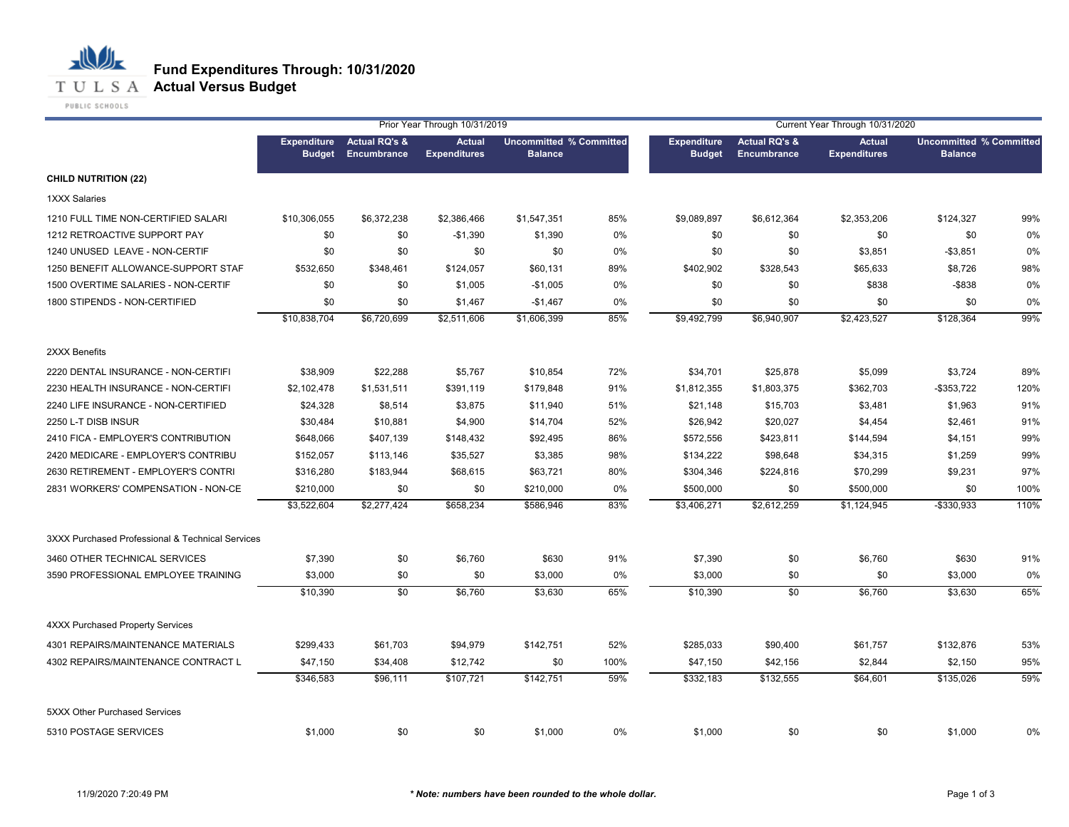

|                                                  |                                     |                                         | Prior Year Through 10/31/2019        |                                                  |      | Current Year Through 10/31/2020     |                                         |                                      |                                                  |      |
|--------------------------------------------------|-------------------------------------|-----------------------------------------|--------------------------------------|--------------------------------------------------|------|-------------------------------------|-----------------------------------------|--------------------------------------|--------------------------------------------------|------|
|                                                  | <b>Expenditure</b><br><b>Budget</b> | <b>Actual RQ's &amp;</b><br>Encumbrance | <b>Actual</b><br><b>Expenditures</b> | <b>Uncommitted % Committed</b><br><b>Balance</b> |      | <b>Expenditure</b><br><b>Budget</b> | <b>Actual RQ's &amp;</b><br>Encumbrance | <b>Actual</b><br><b>Expenditures</b> | <b>Uncommitted % Committed</b><br><b>Balance</b> |      |
| <b>CHILD NUTRITION (22)</b>                      |                                     |                                         |                                      |                                                  |      |                                     |                                         |                                      |                                                  |      |
| <b>1XXX Salaries</b>                             |                                     |                                         |                                      |                                                  |      |                                     |                                         |                                      |                                                  |      |
| 1210 FULL TIME NON-CERTIFIED SALARI              | \$10,306,055                        | \$6,372,238                             | \$2,386,466                          | \$1,547,351                                      | 85%  | \$9,089,897                         | \$6,612,364                             | \$2,353,206                          | \$124,327                                        | 99%  |
| 1212 RETROACTIVE SUPPORT PAY                     | \$0                                 | \$0                                     | $-$1,390$                            | \$1,390                                          | 0%   | \$0                                 | \$0                                     | \$0                                  | \$0                                              | 0%   |
| 1240 UNUSED LEAVE - NON-CERTIF                   | \$0                                 | \$0                                     | \$0                                  | \$0                                              | 0%   | \$0                                 | \$0                                     | \$3,851                              | $-$3,851$                                        | 0%   |
| 1250 BENEFIT ALLOWANCE-SUPPORT STAF              | \$532,650                           | \$348,461                               | \$124,057                            | \$60,131                                         | 89%  | \$402,902                           | \$328,543                               | \$65,633                             | \$8,726                                          | 98%  |
| 1500 OVERTIME SALARIES - NON-CERTIF              | \$0                                 | \$0                                     | \$1,005                              | $-$1,005$                                        | 0%   | \$0                                 | \$0                                     | \$838                                | $-$ \$838                                        | 0%   |
| 1800 STIPENDS - NON-CERTIFIED                    | \$0                                 | \$0                                     | \$1,467                              | $-$1,467$                                        | 0%   | \$0                                 | \$0                                     | \$0                                  | \$0                                              | 0%   |
|                                                  | \$10,838,704                        | \$6,720,699                             | \$2,511,606                          | \$1,606,399                                      | 85%  | \$9,492,799                         | \$6,940,907                             | \$2,423,527                          | \$128,364                                        | 99%  |
| 2XXX Benefits                                    |                                     |                                         |                                      |                                                  |      |                                     |                                         |                                      |                                                  |      |
| 2220 DENTAL INSURANCE - NON-CERTIFI              | \$38,909                            | \$22,288                                | \$5,767                              | \$10,854                                         | 72%  | \$34,701                            | \$25,878                                | \$5,099                              | \$3,724                                          | 89%  |
| 2230 HEALTH INSURANCE - NON-CERTIFI              | \$2,102,478                         | \$1,531,511                             | \$391,119                            | \$179,848                                        | 91%  | \$1,812,355                         | \$1,803,375                             | \$362,703                            | $-$ \$353,722                                    | 120% |
| 2240 LIFE INSURANCE - NON-CERTIFIED              | \$24,328                            | \$8,514                                 | \$3,875                              | \$11,940                                         | 51%  | \$21,148                            | \$15,703                                | \$3,481                              | \$1,963                                          | 91%  |
| 2250 L-T DISB INSUR                              | \$30,484                            | \$10,881                                | \$4,900                              | \$14,704                                         | 52%  | \$26,942                            | \$20,027                                | \$4,454                              | \$2,461                                          | 91%  |
| 2410 FICA - EMPLOYER'S CONTRIBUTION              | \$648,066                           | \$407,139                               | \$148,432                            | \$92,495                                         | 86%  | \$572,556                           | \$423,811                               | \$144,594                            | \$4,151                                          | 99%  |
| 2420 MEDICARE - EMPLOYER'S CONTRIBU              | \$152,057                           | \$113,146                               | \$35,527                             | \$3,385                                          | 98%  | \$134,222                           | \$98,648                                | \$34,315                             | \$1,259                                          | 99%  |
| 2630 RETIREMENT - EMPLOYER'S CONTRI              | \$316,280                           | \$183,944                               | \$68,615                             | \$63,721                                         | 80%  | \$304,346                           | \$224,816                               | \$70,299                             | \$9,231                                          | 97%  |
| 2831 WORKERS' COMPENSATION - NON-CE              | \$210,000                           | \$0                                     | \$0                                  | \$210,000                                        | 0%   | \$500,000                           | \$0                                     | \$500,000                            | \$0                                              | 100% |
|                                                  | \$3,522,604                         | \$2,277,424                             | \$658,234                            | \$586,946                                        | 83%  | \$3,406,271                         | \$2,612,259                             | \$1,124,945                          | -\$330,933                                       | 110% |
| 3XXX Purchased Professional & Technical Services |                                     |                                         |                                      |                                                  |      |                                     |                                         |                                      |                                                  |      |
| 3460 OTHER TECHNICAL SERVICES                    | \$7,390                             | \$0                                     | \$6,760                              | \$630                                            | 91%  | \$7,390                             | \$0                                     | \$6,760                              | \$630                                            | 91%  |
| 3590 PROFESSIONAL EMPLOYEE TRAINING              | \$3,000                             | \$0                                     | \$0                                  | \$3,000                                          | 0%   | \$3,000                             | \$0                                     | \$0                                  | \$3,000                                          | 0%   |
|                                                  | \$10,390                            | $\overline{50}$                         | \$6,760                              | \$3,630                                          | 65%  | \$10,390                            | \$0                                     | \$6,760                              | \$3,630                                          | 65%  |
| <b>4XXX Purchased Property Services</b>          |                                     |                                         |                                      |                                                  |      |                                     |                                         |                                      |                                                  |      |
| 4301 REPAIRS/MAINTENANCE MATERIALS               | \$299,433                           | \$61,703                                | \$94,979                             | \$142,751                                        | 52%  | \$285,033                           | \$90,400                                | \$61,757                             | \$132,876                                        | 53%  |
| 4302 REPAIRS/MAINTENANCE CONTRACT L              | \$47,150                            | \$34,408                                | \$12,742                             | \$0                                              | 100% | \$47,150                            | \$42,156                                | \$2,844                              | \$2,150                                          | 95%  |
|                                                  | \$346,583                           | \$96,111                                | \$107,721                            | \$142,751                                        | 59%  | \$332,183                           | \$132,555                               | \$64,601                             | \$135,026                                        | 59%  |
| 5XXX Other Purchased Services                    |                                     |                                         |                                      |                                                  |      |                                     |                                         |                                      |                                                  |      |
| 5310 POSTAGE SERVICES                            | \$1,000                             | \$0                                     | \$0                                  | \$1,000                                          | 0%   | \$1,000                             | \$0                                     | \$0                                  | \$1,000                                          | 0%   |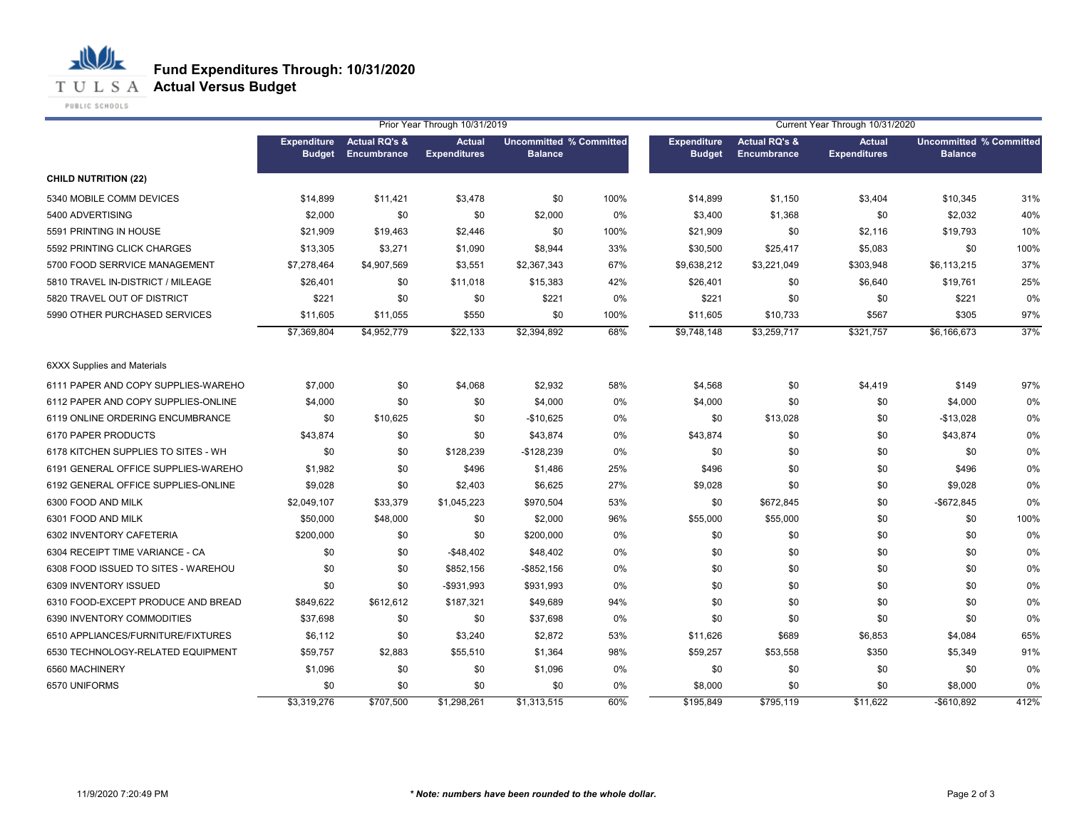

PUBLIC SCHOOLS

|                                     |                                     | Prior Year Through 10/31/2019                  |                                      |                |                                |                                     | Current Year Through 10/31/2020                |                                      |                                                  |      |  |
|-------------------------------------|-------------------------------------|------------------------------------------------|--------------------------------------|----------------|--------------------------------|-------------------------------------|------------------------------------------------|--------------------------------------|--------------------------------------------------|------|--|
|                                     | <b>Expenditure</b><br><b>Budget</b> | <b>Actual RQ's &amp;</b><br><b>Encumbrance</b> | <b>Actual</b><br><b>Expenditures</b> | <b>Balance</b> | <b>Uncommitted % Committed</b> | <b>Expenditure</b><br><b>Budget</b> | <b>Actual RQ's &amp;</b><br><b>Encumbrance</b> | <b>Actual</b><br><b>Expenditures</b> | <b>Uncommitted % Committed</b><br><b>Balance</b> |      |  |
| <b>CHILD NUTRITION (22)</b>         |                                     |                                                |                                      |                |                                |                                     |                                                |                                      |                                                  |      |  |
| 5340 MOBILE COMM DEVICES            | \$14,899                            | \$11,421                                       | \$3,478                              | \$0            | 100%                           | \$14,899                            | \$1,150                                        | \$3,404                              | \$10,345                                         | 31%  |  |
| 5400 ADVERTISING                    | \$2,000                             | \$0                                            | \$0                                  | \$2,000        | 0%                             | \$3,400                             | \$1,368                                        | \$0                                  | \$2,032                                          | 40%  |  |
| 5591 PRINTING IN HOUSE              | \$21,909                            | \$19,463                                       | \$2,446                              | \$0            | 100%                           | \$21,909                            | \$0                                            | \$2,116                              | \$19,793                                         | 10%  |  |
| 5592 PRINTING CLICK CHARGES         | \$13,305                            | \$3,271                                        | \$1,090                              | \$8,944        | 33%                            | \$30,500                            | \$25,417                                       | \$5,083                              | \$0                                              | 100% |  |
| 5700 FOOD SERRVICE MANAGEMENT       | \$7,278,464                         | \$4,907,569                                    | \$3,551                              | \$2,367,343    | 67%                            | \$9,638,212                         | \$3,221,049                                    | \$303,948                            | \$6,113,215                                      | 37%  |  |
| 5810 TRAVEL IN-DISTRICT / MILEAGE   | \$26,401                            | \$0                                            | \$11,018                             | \$15,383       | 42%                            | \$26,401                            | \$0                                            | \$6,640                              | \$19,761                                         | 25%  |  |
| 5820 TRAVEL OUT OF DISTRICT         | \$221                               | \$0                                            | \$0                                  | \$221          | 0%                             | \$221                               | \$0                                            | \$0                                  | \$221                                            | 0%   |  |
| 5990 OTHER PURCHASED SERVICES       | \$11,605                            | \$11,055                                       | \$550                                | \$0            | 100%                           | \$11,605                            | \$10,733                                       | \$567                                | \$305                                            | 97%  |  |
|                                     | \$7,369,804                         | \$4,952,779                                    | \$22,133                             | \$2,394,892    | 68%                            | \$9,748,148                         | \$3,259,717                                    | \$321,757                            | \$6,166,673                                      | 37%  |  |
| <b>6XXX Supplies and Materials</b>  |                                     |                                                |                                      |                |                                |                                     |                                                |                                      |                                                  |      |  |
| 6111 PAPER AND COPY SUPPLIES-WAREHO | \$7,000                             | \$0                                            | \$4,068                              | \$2,932        | 58%                            | \$4,568                             | \$0                                            | \$4,419                              | \$149                                            | 97%  |  |
| 6112 PAPER AND COPY SUPPLIES-ONLINE | \$4,000                             | \$0                                            | \$0                                  | \$4,000        | 0%                             | \$4,000                             | \$0                                            | \$0                                  | \$4,000                                          | 0%   |  |
| 6119 ONLINE ORDERING ENCUMBRANCE    | \$0                                 | \$10,625                                       | \$0                                  | $-$10,625$     | 0%                             | \$0                                 | \$13,028                                       | \$0                                  | $-$13,028$                                       | 0%   |  |
| 6170 PAPER PRODUCTS                 | \$43,874                            | \$0                                            | \$0                                  | \$43,874       | 0%                             | \$43,874                            | \$0                                            | \$0                                  | \$43,874                                         | 0%   |  |
| 6178 KITCHEN SUPPLIES TO SITES - WH | \$0                                 | \$0                                            | \$128,239                            | $-$128,239$    | 0%                             | \$0                                 | \$0                                            | \$0                                  | \$0                                              | 0%   |  |
| 6191 GENERAL OFFICE SUPPLIES-WAREHO | \$1,982                             | \$0                                            | \$496                                | \$1,486        | 25%                            | \$496                               | \$0                                            | \$0                                  | \$496                                            | 0%   |  |
| 6192 GENERAL OFFICE SUPPLIES-ONLINE | \$9,028                             | \$0                                            | \$2,403                              | \$6,625        | 27%                            | \$9,028                             | \$0                                            | \$0                                  | \$9,028                                          | 0%   |  |
| 6300 FOOD AND MILK                  | \$2,049,107                         | \$33,379                                       | \$1,045,223                          | \$970,504      | 53%                            | \$0                                 | \$672,845                                      | \$0                                  | $-$ \$672,845                                    | 0%   |  |
| 6301 FOOD AND MILK                  | \$50,000                            | \$48,000                                       | \$0                                  | \$2,000        | 96%                            | \$55,000                            | \$55,000                                       | \$0                                  | \$0                                              | 100% |  |
| 6302 INVENTORY CAFETERIA            | \$200,000                           | \$0                                            | \$0                                  | \$200,000      | 0%                             | \$0                                 | \$0                                            | \$0                                  | \$0                                              | 0%   |  |
| 6304 RECEIPT TIME VARIANCE - CA     | \$0                                 | \$0                                            | $-$ \$48,402                         | \$48,402       | 0%                             | \$0                                 | \$0                                            | \$0                                  | \$0                                              | 0%   |  |
| 6308 FOOD ISSUED TO SITES - WAREHOU | \$0                                 | \$0                                            | \$852,156                            | $-$ \$852,156  | 0%                             | \$0                                 | \$0                                            | \$0                                  | \$0                                              | 0%   |  |
| 6309 INVENTORY ISSUED               | \$0                                 | \$0                                            | $-$931,993$                          | \$931,993      | 0%                             | \$0                                 | \$0                                            | \$0                                  | \$0                                              | 0%   |  |
| 6310 FOOD-EXCEPT PRODUCE AND BREAD  | \$849,622                           | \$612,612                                      | \$187,321                            | \$49,689       | 94%                            | \$0                                 | \$0                                            | \$0                                  | \$0                                              | 0%   |  |
| 6390 INVENTORY COMMODITIES          | \$37,698                            | \$0                                            | \$0                                  | \$37,698       | 0%                             | \$0                                 | \$0                                            | \$0                                  | \$0                                              | 0%   |  |
| 6510 APPLIANCES/FURNITURE/FIXTURES  | \$6.112                             | \$0                                            | \$3,240                              | \$2,872        | 53%                            | \$11,626                            | \$689                                          | \$6,853                              | \$4,084                                          | 65%  |  |
| 6530 TECHNOLOGY-RELATED EQUIPMENT   | \$59,757                            | \$2,883                                        | \$55,510                             | \$1,364        | 98%                            | \$59,257                            | \$53,558                                       | \$350                                | \$5,349                                          | 91%  |  |
| 6560 MACHINERY                      | \$1,096                             | \$0                                            | \$0                                  | \$1,096        | 0%                             | \$0                                 | \$0                                            | \$0                                  | \$0                                              | 0%   |  |
| 6570 UNIFORMS                       | \$0                                 | \$0                                            | \$0                                  | \$0            | 0%                             | \$8,000                             | \$0                                            | \$0                                  | \$8,000                                          | 0%   |  |
|                                     | \$3,319,276                         | \$707,500                                      | \$1,298,261                          | \$1,313,515    | 60%                            | \$195,849                           | \$795,119                                      | \$11,622                             | $-$610,892$                                      | 412% |  |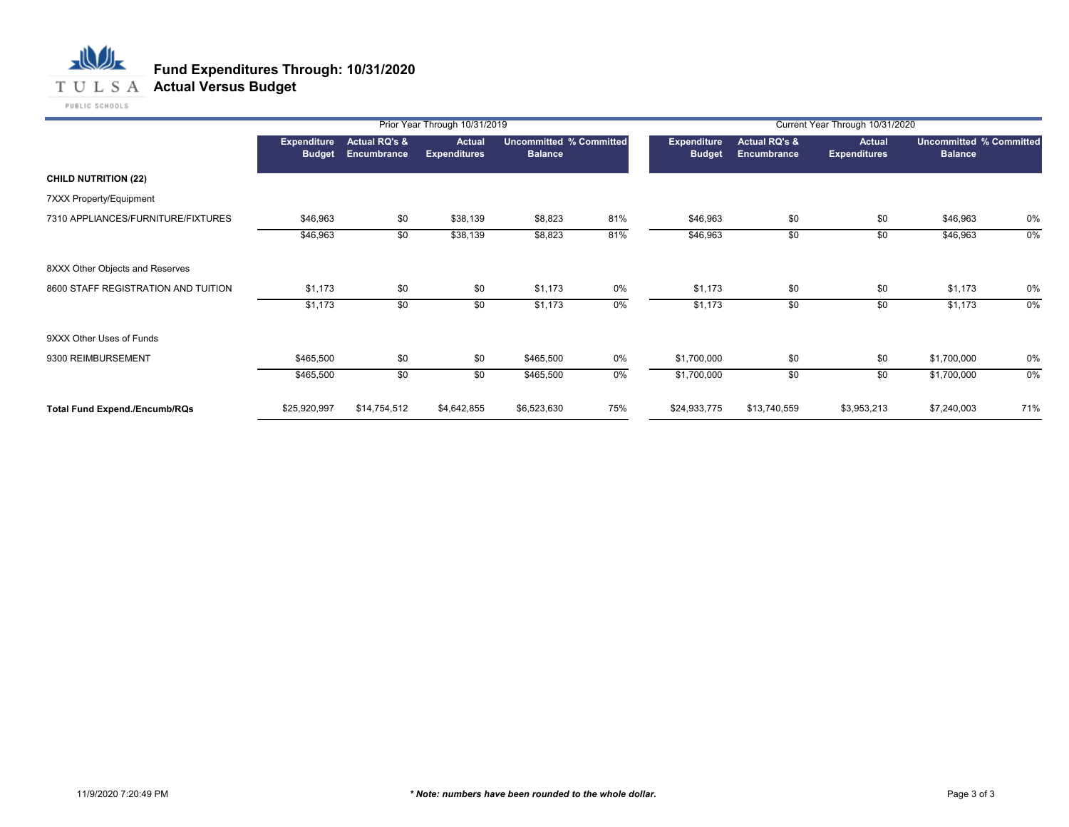

|                                      |                              |                                         | Prior Year Through 10/31/2019        |                                           |       | Current Year Through 10/31/2020     |                                         |                               |                                                  |     |  |
|--------------------------------------|------------------------------|-----------------------------------------|--------------------------------------|-------------------------------------------|-------|-------------------------------------|-----------------------------------------|-------------------------------|--------------------------------------------------|-----|--|
|                                      | Expenditure<br><b>Budget</b> | <b>Actual RQ's &amp;</b><br>Encumbrance | <b>Actual</b><br><b>Expenditures</b> | Uncommitted % Committed<br><b>Balance</b> |       | <b>Expenditure</b><br><b>Budget</b> | <b>Actual RQ's &amp;</b><br>Encumbrance | Actual<br><b>Expenditures</b> | <b>Uncommitted % Committed</b><br><b>Balance</b> |     |  |
| <b>CHILD NUTRITION (22)</b>          |                              |                                         |                                      |                                           |       |                                     |                                         |                               |                                                  |     |  |
| 7XXX Property/Equipment              |                              |                                         |                                      |                                           |       |                                     |                                         |                               |                                                  |     |  |
| 7310 APPLIANCES/FURNITURE/FIXTURES   | \$46,963                     | \$0                                     | \$38,139                             | \$8,823                                   | 81%   | \$46,963                            | \$0                                     | \$0                           | \$46,963                                         | 0%  |  |
|                                      | \$46,963                     | \$0                                     | \$38,139                             | \$8,823                                   | 81%   | \$46,963                            | \$0                                     | \$0                           | \$46,963                                         | 0%  |  |
| 8XXX Other Objects and Reserves      |                              |                                         |                                      |                                           |       |                                     |                                         |                               |                                                  |     |  |
| 8600 STAFF REGISTRATION AND TUITION  | \$1,173                      | \$0                                     | \$0                                  | \$1,173                                   | 0%    | \$1,173                             | \$0                                     | \$0                           | \$1,173                                          | 0%  |  |
|                                      | \$1,173                      | \$0                                     | \$0                                  | \$1,173                                   | 0%    | \$1,173                             | \$0                                     | \$0                           | \$1,173                                          | 0%  |  |
| 9XXX Other Uses of Funds             |                              |                                         |                                      |                                           |       |                                     |                                         |                               |                                                  |     |  |
| 9300 REIMBURSEMENT                   | \$465,500                    | \$0                                     | \$0                                  | \$465,500                                 | 0%    | \$1,700,000                         | \$0                                     | \$0                           | \$1,700,000                                      | 0%  |  |
|                                      | \$465,500                    | \$0                                     | \$0                                  | \$465,500                                 | $0\%$ | \$1,700,000                         | \$0                                     | \$0                           | \$1,700,000                                      | 0%  |  |
| <b>Total Fund Expend./Encumb/RQs</b> | \$25,920,997                 | \$14,754,512                            | \$4,642,855                          | \$6,523,630                               | 75%   | \$24,933,775                        | \$13,740,559                            | \$3,953,213                   | \$7,240,003                                      | 71% |  |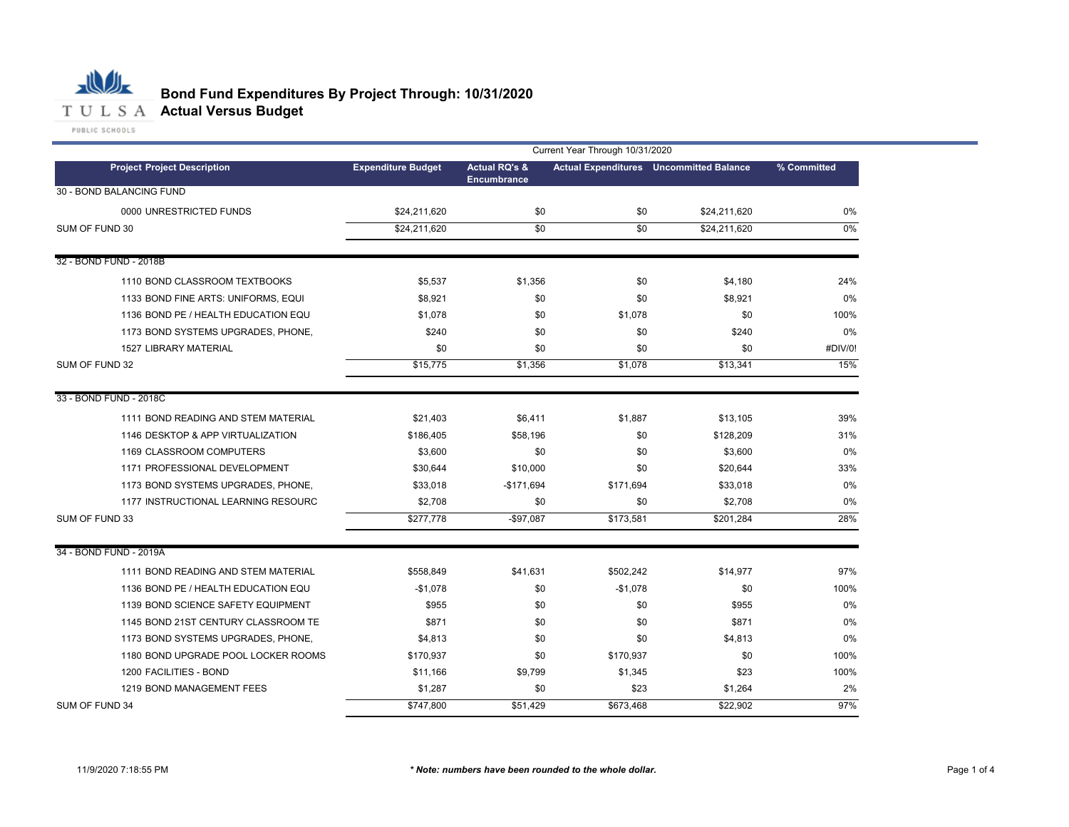

|                                     | Current Year Through 10/31/2020 |                                                |           |                                                |             |  |
|-------------------------------------|---------------------------------|------------------------------------------------|-----------|------------------------------------------------|-------------|--|
| <b>Project Project Description</b>  | <b>Expenditure Budget</b>       | <b>Actual RQ's &amp;</b><br><b>Encumbrance</b> |           | <b>Actual Expenditures</b> Uncommitted Balance | % Committed |  |
| 30 - BOND BALANCING FUND            |                                 |                                                |           |                                                |             |  |
| 0000 UNRESTRICTED FUNDS             | \$24,211,620                    | \$0                                            | \$0       | \$24,211,620                                   | 0%          |  |
| SUM OF FUND 30                      | \$24,211,620                    | $\overline{50}$                                | \$0       | \$24,211,620                                   | 0%          |  |
|                                     |                                 |                                                |           |                                                |             |  |
| 32 - BOND FUND - 2018B              |                                 |                                                |           |                                                |             |  |
| 1110 BOND CLASSROOM TEXTBOOKS       | \$5,537                         | \$1,356                                        | \$0       | \$4,180                                        | 24%         |  |
| 1133 BOND FINE ARTS: UNIFORMS, EQUI | \$8,921                         | \$0                                            | \$0       | \$8,921                                        | 0%          |  |
| 1136 BOND PE / HEALTH EDUCATION EQU | \$1,078                         | \$0                                            | \$1,078   | \$0                                            | 100%        |  |
| 1173 BOND SYSTEMS UPGRADES, PHONE,  | \$240                           | \$0                                            | \$0       | \$240                                          | 0%          |  |
| <b>1527 LIBRARY MATERIAL</b>        | \$0                             | \$0                                            | \$0       | \$0                                            | #DIV/0!     |  |
| SUM OF FUND 32                      | \$15,775                        | \$1,356                                        | \$1,078   | \$13,341                                       | 15%         |  |
| 33 - BOND FUND - 2018C              |                                 |                                                |           |                                                |             |  |
| 1111 BOND READING AND STEM MATERIAL | \$21,403                        | \$6,411                                        | \$1,887   | \$13,105                                       | 39%         |  |
| 1146 DESKTOP & APP VIRTUALIZATION   | \$186,405                       | \$58,196                                       | \$0       | \$128,209                                      | 31%         |  |
| 1169 CLASSROOM COMPUTERS            | \$3,600                         | \$0                                            | \$0       | \$3,600                                        | 0%          |  |
| 1171 PROFESSIONAL DEVELOPMENT       | \$30,644                        | \$10,000                                       | \$0       | \$20,644                                       | 33%         |  |
| 1173 BOND SYSTEMS UPGRADES, PHONE,  | \$33,018                        | $-$171,694$                                    | \$171,694 | \$33,018                                       | 0%          |  |
| 1177 INSTRUCTIONAL LEARNING RESOURC | \$2,708                         | \$0                                            | \$0       | \$2,708                                        | 0%          |  |
| SUM OF FUND 33                      | \$277,778                       | $-$97,087$                                     | \$173,581 | \$201,284                                      | 28%         |  |
| 34 - BOND FUND - 2019A              |                                 |                                                |           |                                                |             |  |
| 1111 BOND READING AND STEM MATERIAL | \$558,849                       | \$41,631                                       | \$502,242 | \$14,977                                       | 97%         |  |
| 1136 BOND PE / HEALTH EDUCATION EQU | $-$1,078$                       | \$0                                            | $-$1,078$ | \$0                                            | 100%        |  |
| 1139 BOND SCIENCE SAFETY EQUIPMENT  | \$955                           | \$0                                            | \$0       | \$955                                          | 0%          |  |
| 1145 BOND 21ST CENTURY CLASSROOM TE | \$871                           | \$0                                            | \$0       | \$871                                          | 0%          |  |
| 1173 BOND SYSTEMS UPGRADES, PHONE,  | \$4,813                         | \$0                                            | \$0       | \$4,813                                        | 0%          |  |
| 1180 BOND UPGRADE POOL LOCKER ROOMS | \$170,937                       | \$0                                            | \$170,937 | \$0                                            | 100%        |  |
| 1200 FACILITIES - BOND              | \$11,166                        | \$9,799                                        | \$1,345   | \$23                                           | 100%        |  |
| 1219 BOND MANAGEMENT FEES           | \$1,287                         | \$0                                            | \$23      | \$1,264                                        | 2%          |  |
| SUM OF FUND 34                      | \$747,800                       | \$51,429                                       | \$673,468 | \$22,902                                       | 97%         |  |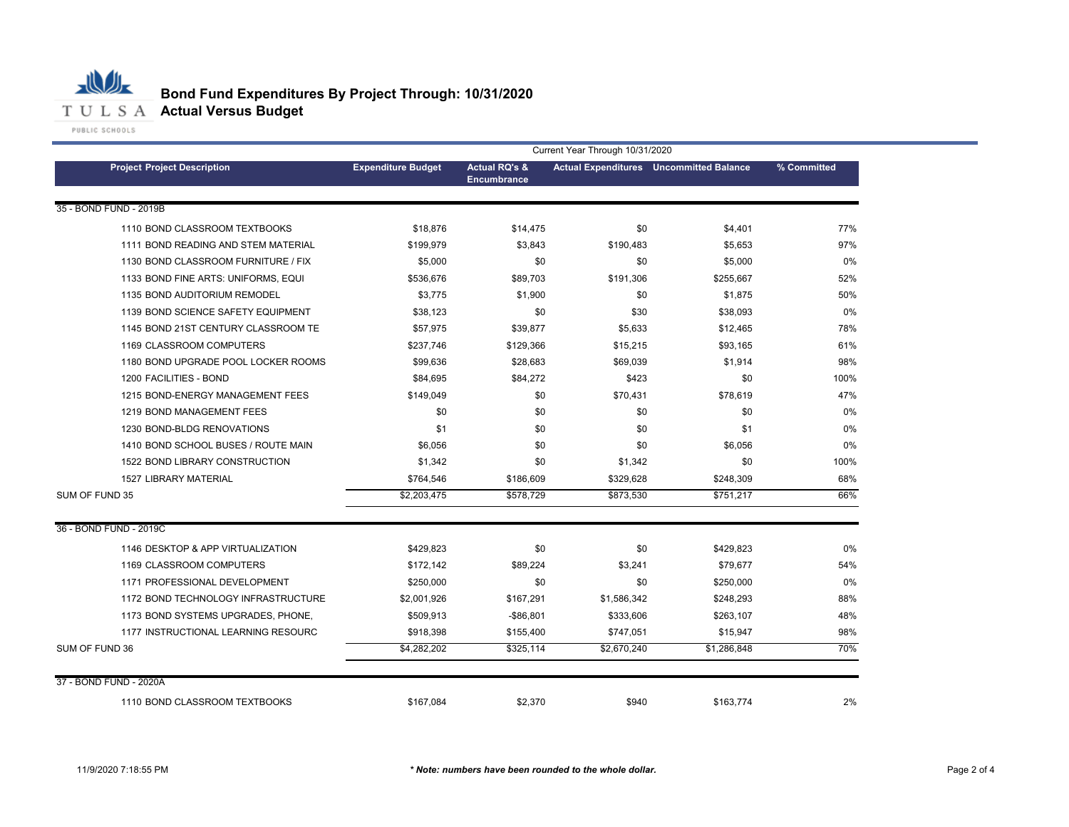

|                                     | Current Year Through 10/31/2020 |                                                |             |                                                |             |  |  |
|-------------------------------------|---------------------------------|------------------------------------------------|-------------|------------------------------------------------|-------------|--|--|
| <b>Project Project Description</b>  | <b>Expenditure Budget</b>       | <b>Actual RQ's &amp;</b><br><b>Encumbrance</b> |             | <b>Actual Expenditures</b> Uncommitted Balance | % Committed |  |  |
| 35 - BOND FUND - 2019B              |                                 |                                                |             |                                                |             |  |  |
| 1110 BOND CLASSROOM TEXTBOOKS       | \$18,876                        | \$14,475                                       | \$0         | \$4,401                                        | 77%         |  |  |
| 1111 BOND READING AND STEM MATERIAL | \$199,979                       | \$3.843                                        | \$190,483   | \$5.653                                        | 97%         |  |  |
| 1130 BOND CLASSROOM FURNITURE / FIX | \$5,000                         | \$0                                            | \$0         | \$5,000                                        | 0%          |  |  |
| 1133 BOND FINE ARTS: UNIFORMS, EQUI | \$536,676                       | \$89,703                                       | \$191,306   | \$255,667                                      | 52%         |  |  |
| 1135 BOND AUDITORIUM REMODEL        | \$3,775                         | \$1,900                                        | \$0         | \$1,875                                        | 50%         |  |  |
| 1139 BOND SCIENCE SAFETY EQUIPMENT  | \$38,123                        | \$0                                            | \$30        | \$38,093                                       | 0%          |  |  |
| 1145 BOND 21ST CENTURY CLASSROOM TE | \$57,975                        | \$39,877                                       | \$5,633     | \$12.465                                       | 78%         |  |  |
| 1169 CLASSROOM COMPUTERS            | \$237,746                       | \$129,366                                      | \$15,215    | \$93,165                                       | 61%         |  |  |
| 1180 BOND UPGRADE POOL LOCKER ROOMS | \$99,636                        | \$28.683                                       | \$69,039    | \$1.914                                        | 98%         |  |  |
| 1200 FACILITIES - BOND              | \$84,695                        | \$84,272                                       | \$423       | \$0                                            | 100%        |  |  |
| 1215 BOND-ENERGY MANAGEMENT FEES    | \$149,049                       | \$0                                            | \$70,431    | \$78,619                                       | 47%         |  |  |
| 1219 BOND MANAGEMENT FEES           | \$0                             | \$0                                            | \$0         | \$0                                            | 0%          |  |  |
| 1230 BOND-BLDG RENOVATIONS          | \$1                             | \$0                                            | \$0         | \$1                                            | 0%          |  |  |
| 1410 BOND SCHOOL BUSES / ROUTE MAIN | \$6,056                         | \$0                                            | \$0         | \$6,056                                        | 0%          |  |  |
| 1522 BOND LIBRARY CONSTRUCTION      | \$1,342                         | \$0                                            | \$1,342     | \$0                                            | 100%        |  |  |
| <b>1527 LIBRARY MATERIAL</b>        | \$764,546                       | \$186,609                                      | \$329,628   | \$248,309                                      | 68%         |  |  |
| SUM OF FUND 35                      | \$2,203,475                     | \$578,729                                      | \$873,530   | \$751,217                                      | 66%         |  |  |
| 36 - BOND FUND - 2019C              |                                 |                                                |             |                                                |             |  |  |
| 1146 DESKTOP & APP VIRTUALIZATION   | \$429.823                       | \$0                                            | \$0         | \$429.823                                      | 0%          |  |  |
| 1169 CLASSROOM COMPUTERS            | \$172,142                       | \$89,224                                       | \$3,241     | \$79.677                                       | 54%         |  |  |
| 1171 PROFESSIONAL DEVELOPMENT       | \$250,000                       | \$0                                            | \$0         | \$250,000                                      | 0%          |  |  |
| 1172 BOND TECHNOLOGY INFRASTRUCTURE | \$2,001,926                     | \$167,291                                      | \$1,586,342 | \$248,293                                      | 88%         |  |  |
| 1173 BOND SYSTEMS UPGRADES, PHONE,  | \$509,913                       | $-$86,801$                                     | \$333,606   | \$263,107                                      | 48%         |  |  |
| 1177 INSTRUCTIONAL LEARNING RESOURC | \$918,398                       | \$155,400                                      | \$747,051   | \$15,947                                       | 98%         |  |  |
| SUM OF FUND 36                      | \$4,282,202                     | \$325,114                                      | \$2,670,240 | \$1,286,848                                    | 70%         |  |  |
| 37 - BOND FUND - 2020A              |                                 |                                                |             |                                                |             |  |  |
| 1110 BOND CLASSROOM TEXTBOOKS       | \$167,084                       | \$2,370                                        | \$940       | \$163,774                                      | 2%          |  |  |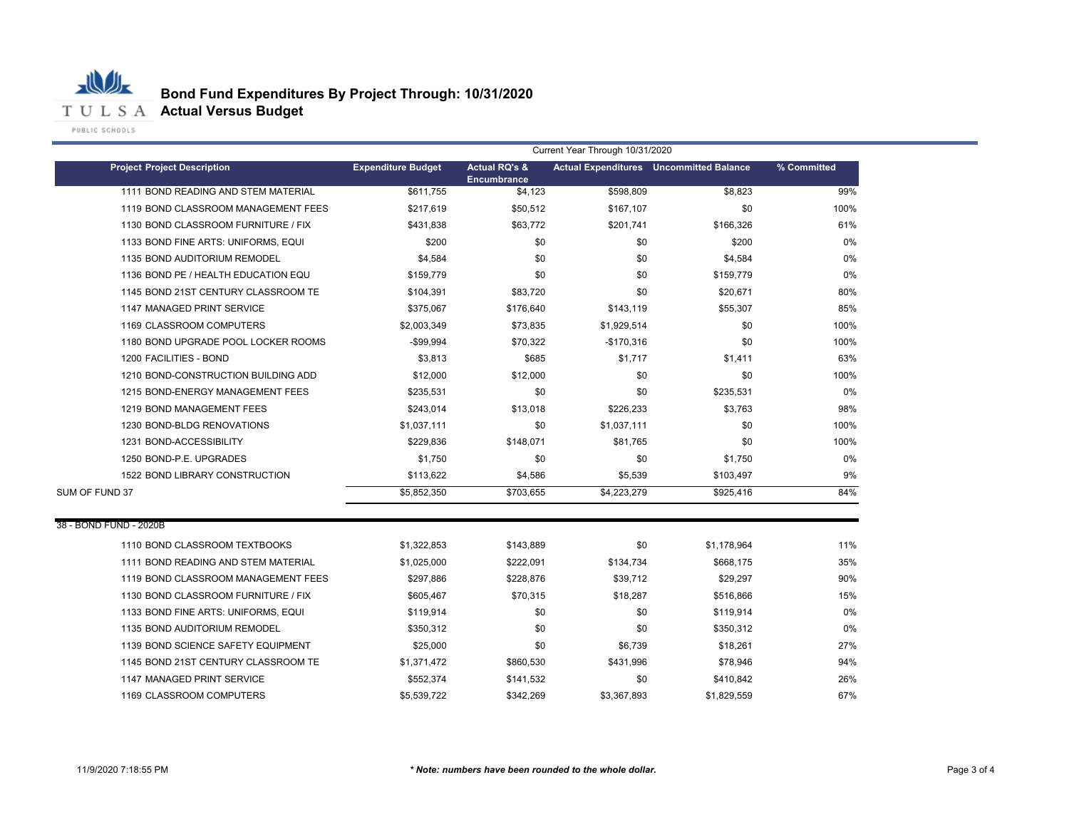

|                |                                     | Current Year Through 10/31/2020 |                               |             |                                                |             |  |
|----------------|-------------------------------------|---------------------------------|-------------------------------|-------------|------------------------------------------------|-------------|--|
|                | <b>Project Project Description</b>  | <b>Expenditure Budget</b>       | <b>Actual RQ's &amp;</b>      |             | <b>Actual Expenditures</b> Uncommitted Balance | % Committed |  |
|                | 1111 BOND READING AND STEM MATERIAL | \$611,755                       | <b>Encumbrance</b><br>\$4,123 | \$598,809   | \$8,823                                        | 99%         |  |
|                | 1119 BOND CLASSROOM MANAGEMENT FEES | \$217,619                       | \$50,512                      | \$167,107   | \$0                                            | 100%        |  |
|                | 1130 BOND CLASSROOM FURNITURE / FIX | \$431,838                       | \$63,772                      | \$201,741   | \$166,326                                      | 61%         |  |
|                | 1133 BOND FINE ARTS: UNIFORMS, EQUI | \$200                           | \$0                           | \$0         | \$200                                          | 0%          |  |
|                | 1135 BOND AUDITORIUM REMODEL        | \$4,584                         | \$0                           | \$0         | \$4,584                                        | 0%          |  |
|                | 1136 BOND PE / HEALTH EDUCATION EQU | \$159,779                       | \$0                           | \$0         | \$159,779                                      | 0%          |  |
|                | 1145 BOND 21ST CENTURY CLASSROOM TE | \$104,391                       | \$83,720                      | \$0         | \$20,671                                       | 80%         |  |
|                | 1147 MANAGED PRINT SERVICE          | \$375,067                       | \$176,640                     | \$143,119   | \$55,307                                       | 85%         |  |
|                | 1169 CLASSROOM COMPUTERS            | \$2,003,349                     | \$73,835                      | \$1,929,514 | \$0                                            | 100%        |  |
|                | 1180 BOND UPGRADE POOL LOCKER ROOMS | $-$99.994$                      | \$70,322                      | $-$170,316$ | \$0                                            | 100%        |  |
|                | 1200 FACILITIES - BOND              | \$3,813                         | \$685                         | \$1,717     | \$1,411                                        | 63%         |  |
|                | 1210 BOND-CONSTRUCTION BUILDING ADD | \$12,000                        | \$12,000                      | \$0         | \$0                                            | 100%        |  |
|                | 1215 BOND-ENERGY MANAGEMENT FEES    | \$235,531                       | \$0                           | \$0         | \$235,531                                      | 0%          |  |
|                | 1219 BOND MANAGEMENT FEES           | \$243,014                       | \$13,018                      | \$226,233   | \$3,763                                        | 98%         |  |
|                | 1230 BOND-BLDG RENOVATIONS          | \$1,037,111                     | \$0                           | \$1,037,111 | \$0                                            | 100%        |  |
|                | 1231 BOND-ACCESSIBILITY             | \$229,836                       | \$148,071                     | \$81,765    | \$0                                            | 100%        |  |
|                | 1250 BOND-P.E. UPGRADES             | \$1,750                         | \$0                           | \$0         | \$1,750                                        | 0%          |  |
|                | 1522 BOND LIBRARY CONSTRUCTION      | \$113,622                       | \$4,586                       | \$5,539     | \$103,497                                      | 9%          |  |
| SUM OF FUND 37 |                                     | \$5,852,350                     | \$703,655                     | \$4,223,279 | \$925,416                                      | 84%         |  |
|                |                                     |                                 |                               |             |                                                |             |  |
|                | 38 - BOND FUND - 2020B              |                                 |                               |             |                                                |             |  |
|                | 1110 BOND CLASSROOM TEXTBOOKS       | \$1,322,853                     | \$143,889                     | \$0         | \$1,178,964                                    | 11%         |  |
|                | 1111 BOND READING AND STEM MATERIAL | \$1,025,000                     | \$222,091                     | \$134,734   | \$668,175                                      | 35%         |  |
|                | 1119 BOND CLASSROOM MANAGEMENT FEES | \$297,886                       | \$228,876                     | \$39,712    | \$29,297                                       | 90%         |  |
|                | 1130 BOND CLASSROOM FURNITURE / FIX | \$605,467                       | \$70,315                      | \$18,287    | \$516,866                                      | 15%         |  |
|                | 1133 BOND FINE ARTS: UNIFORMS, EQUI | \$119,914                       | \$0                           | \$0         | \$119,914                                      | 0%          |  |
|                | 1135 BOND AUDITORIUM REMODEL        | \$350,312                       | \$0                           | \$0         | \$350,312                                      | 0%          |  |
|                | 1139 BOND SCIENCE SAFETY EQUIPMENT  | \$25,000                        | \$0                           | \$6,739     | \$18,261                                       | 27%         |  |
|                | 1145 BOND 21ST CENTURY CLASSROOM TE | \$1,371,472                     | \$860,530                     | \$431,996   | \$78,946                                       | 94%         |  |
|                | 1147 MANAGED PRINT SERVICE          | \$552,374                       | \$141,532                     | \$0         | \$410,842                                      | 26%         |  |
|                | 1169 CLASSROOM COMPUTERS            | \$5,539,722                     | \$342,269                     | \$3,367,893 | \$1.829.559                                    | 67%         |  |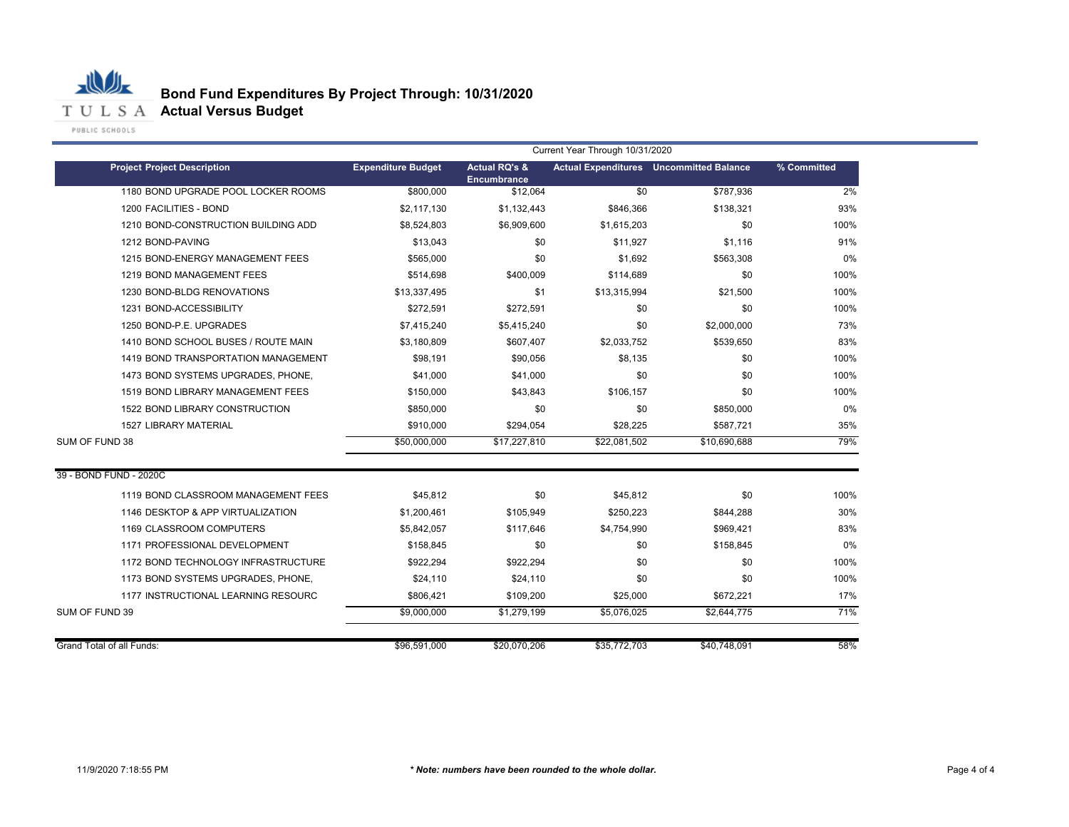

|                                     | Current Year Through 10/31/2020 |                                         |              |                                                |             |
|-------------------------------------|---------------------------------|-----------------------------------------|--------------|------------------------------------------------|-------------|
| <b>Project Project Description</b>  | <b>Expenditure Budget</b>       | <b>Actual RQ's &amp;</b><br>Encumbrance |              | <b>Actual Expenditures</b> Uncommitted Balance | % Committed |
| 1180 BOND UPGRADE POOL LOCKER ROOMS | \$800,000                       | \$12,064                                | \$0          | \$787,936                                      | 2%          |
| 1200 FACILITIES - BOND              | \$2.117.130                     | \$1,132,443                             | \$846,366    | \$138,321                                      | 93%         |
| 1210 BOND-CONSTRUCTION BUILDING ADD | \$8,524,803                     | \$6,909,600                             | \$1,615,203  | \$0                                            | 100%        |
| 1212 BOND-PAVING                    | \$13,043                        | \$0                                     | \$11,927     | \$1,116                                        | 91%         |
| 1215 BOND-ENERGY MANAGEMENT FEES    | \$565,000                       | \$0                                     | \$1,692      | \$563,308                                      | 0%          |
| 1219 BOND MANAGEMENT FEES           | \$514,698                       | \$400,009                               | \$114,689    | \$0                                            | 100%        |
| 1230 BOND-BLDG RENOVATIONS          | \$13,337,495                    | \$1                                     | \$13,315,994 | \$21,500                                       | 100%        |
| 1231 BOND-ACCESSIBILITY             | \$272,591                       | \$272,591                               | \$0          | \$0                                            | 100%        |
| 1250 BOND-P.E. UPGRADES             | \$7,415,240                     | \$5,415,240                             | \$0          | \$2,000,000                                    | 73%         |
| 1410 BOND SCHOOL BUSES / ROUTE MAIN | \$3,180,809                     | \$607,407                               | \$2,033,752  | \$539,650                                      | 83%         |
| 1419 BOND TRANSPORTATION MANAGEMENT | \$98.191                        | \$90,056                                | \$8,135      | \$0                                            | 100%        |
| 1473 BOND SYSTEMS UPGRADES, PHONE,  | \$41,000                        | \$41,000                                | \$0          | \$0                                            | 100%        |
| 1519 BOND LIBRARY MANAGEMENT FEES   | \$150,000                       | \$43,843                                | \$106,157    | \$0                                            | 100%        |
| 1522 BOND LIBRARY CONSTRUCTION      | \$850,000                       | \$0                                     | \$0          | \$850,000                                      | 0%          |
| <b>1527 LIBRARY MATERIAL</b>        | \$910,000                       | \$294,054                               | \$28,225     | \$587,721                                      | 35%         |
| SUM OF FUND 38                      | \$50,000,000                    | \$17,227,810                            | \$22,081,502 | \$10,690,688                                   | 79%         |
| 39 - BOND FUND - 2020C              |                                 |                                         |              |                                                |             |
| 1119 BOND CLASSROOM MANAGEMENT FEES | \$45,812                        | \$0                                     | \$45,812     | \$0                                            | 100%        |
| 1146 DESKTOP & APP VIRTUALIZATION   | \$1,200,461                     | \$105,949                               | \$250,223    | \$844,288                                      | 30%         |
| 1169 CLASSROOM COMPUTERS            | \$5,842,057                     | \$117,646                               | \$4,754,990  | \$969,421                                      | 83%         |
| 1171 PROFESSIONAL DEVELOPMENT       | \$158,845                       | \$0                                     | \$0          | \$158,845                                      | 0%          |
| 1172 BOND TECHNOLOGY INFRASTRUCTURE | \$922,294                       | \$922,294                               | \$0          | \$0                                            | 100%        |
| 1173 BOND SYSTEMS UPGRADES, PHONE,  | \$24,110                        | \$24,110                                | \$0          | \$0                                            | 100%        |
| 1177 INSTRUCTIONAL LEARNING RESOURC | \$806,421                       | \$109,200                               | \$25,000     | \$672,221                                      | 17%         |
| SUM OF FUND 39                      | \$9,000,000                     | \$1,279,199                             | \$5,076,025  | \$2,644,775                                    | 71%         |
|                                     |                                 |                                         |              |                                                |             |
| <b>Grand Total of all Funds:</b>    | \$96,591,000                    | \$20,070,206                            | \$35,772,703 | \$40,748,091                                   | 58%         |